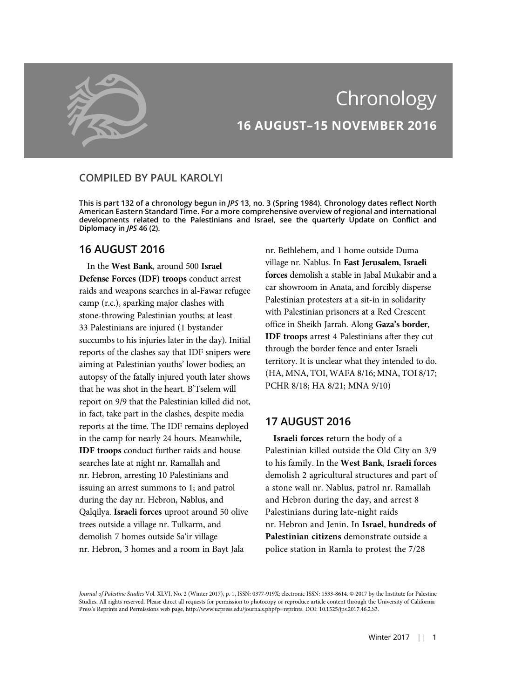

# Chronology 16 AUGUST–15 NOVEMBER 2016

# COMPILED BY PAUL KAROLYI

This is part 132 of a chronology begun in JPS 13, no. 3 (Spring 1984). Chronology dates reflect North American Eastern Standard Time. For a more comprehensive overview of regional and international developments related to the Palestinians and Israel, see the quarterly Update on Conflict and Diplomacy in JPS 46 (2).

# 16 AUGUST 2016

In the West Bank, around 500 Israel Defense Forces (IDF) troops conduct arrest raids and weapons searches in al-Fawar refugee camp (r.c.), sparking major clashes with stone-throwing Palestinian youths; at least 33 Palestinians are injured (1 bystander succumbs to his injuries later in the day). Initial reports of the clashes say that IDF snipers were aiming at Palestinian youths' lower bodies; an autopsy of the fatally injured youth later shows that he was shot in the heart. B'Tselem will report on 9/9 that the Palestinian killed did not, in fact, take part in the clashes, despite media reports at the time. The IDF remains deployed in the camp for nearly 24 hours. Meanwhile, IDF troops conduct further raids and house searches late at night nr. Ramallah and nr. Hebron, arresting 10 Palestinians and issuing an arrest summons to 1; and patrol during the day nr. Hebron, Nablus, and Qalqilya. Israeli forces uproot around 50 olive trees outside a village nr. Tulkarm, and demolish 7 homes outside Sa'ir village nr. Hebron, 3 homes and a room in Bayt Jala

nr. Bethlehem, and 1 home outside Duma village nr. Nablus. In East Jerusalem, Israeli forces demolish a stable in Jabal Mukabir and a car showroom in Anata, and forcibly disperse Palestinian protesters at a sit-in in solidarity with Palestinian prisoners at a Red Crescent office in Sheikh Jarrah. Along Gaza's border, IDF troops arrest 4 Palestinians after they cut through the border fence and enter Israeli territory. It is unclear what they intended to do. (HA, MNA, TOI, WAFA 8/16; MNA, TOI 8/17; PCHR 8/18; HA 8/21; MNA 9/10)

# 17 AUGUST 2016

Israeli forces return the body of a Palestinian killed outside the Old City on 3/9 to his family. In the West Bank, Israeli forces demolish 2 agricultural structures and part of a stone wall nr. Nablus, patrol nr. Ramallah and Hebron during the day, and arrest 8 Palestinians during late-night raids nr. Hebron and Jenin. In Israel, hundreds of Palestinian citizens demonstrate outside a police station in Ramla to protest the 7/28

Journal of Palestine Studies Vol. XLVI, No. 2 (Winter 2017), p. 1, ISSN: 0377-919X; electronic ISSN: 1533-8614. © 2017 by the Institute for Palestine Studies. All rights reserved. Please direct all requests for permission to photocopy or reproduce article content through the University of California Press's Reprints and Permissions web page, http://www.ucpress.edu/journals.php?p=reprints. DOI: 10.1525/jps.2017.46.2.S3.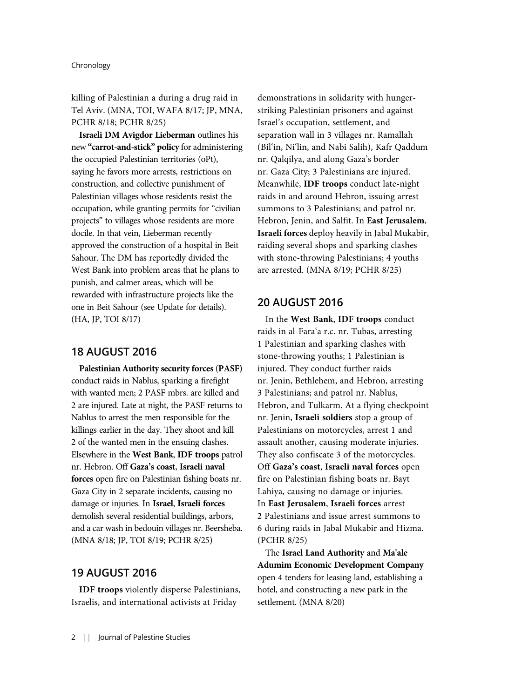killing of Palestinian a during a drug raid in Tel Aviv. (MNA, TOI, WAFA 8/17; JP, MNA, PCHR 8/18; PCHR 8/25)

Israeli DM Avigdor Lieberman outlines his new "carrot-and-stick" policy for administering the occupied Palestinian territories (oPt), saying he favors more arrests, restrictions on construction, and collective punishment of Palestinian villages whose residents resist the occupation, while granting permits for "civilian projects" to villages whose residents are more docile. In that vein, Lieberman recently approved the construction of a hospital in Beit Sahour. The DM has reportedly divided the West Bank into problem areas that he plans to punish, and calmer areas, which will be rewarded with infrastructure projects like the one in Beit Sahour (see Update for details). (HA, JP, TOI 8/17)

### 18 AUGUST 2016

Palestinian Authority security forces (PASF) conduct raids in Nablus, sparking a firefight with wanted men; 2 PASF mbrs. are killed and 2 are injured. Late at night, the PASF returns to Nablus to arrest the men responsible for the killings earlier in the day. They shoot and kill 2 of the wanted men in the ensuing clashes. Elsewhere in the West Bank, IDF troops patrol nr. Hebron. Off Gaza's coast, Israeli naval forces open fire on Palestinian fishing boats nr. Gaza City in 2 separate incidents, causing no damage or injuries. In Israel, Israeli forces demolish several residential buildings, arbors, and a car wash in bedouin villages nr. Beersheba. (MNA 8/18; JP, TOI 8/19; PCHR 8/25)

# 19 AUGUST 2016

IDF troops violently disperse Palestinians, Israelis, and international activists at Friday

demonstrations in solidarity with hungerstriking Palestinian prisoners and against Israel's occupation, settlement, and separation wall in 3 villages nr. Ramallah (Bil'in, Ni'lin, and Nabi Salih), Kafr Qaddum nr. Qalqilya, and along Gaza's border nr. Gaza City; 3 Palestinians are injured. Meanwhile, IDF troops conduct late-night raids in and around Hebron, issuing arrest summons to 3 Palestinians; and patrol nr. Hebron, Jenin, and Salfit. In East Jerusalem, Israeli forces deploy heavily in Jabal Mukabir, raiding several shops and sparking clashes with stone-throwing Palestinians; 4 youths are arrested. (MNA 8/19; PCHR 8/25)

### 20 AUGUST 2016

In the West Bank, IDF troops conduct raids in al-Fara'a r.c. nr. Tubas, arresting 1 Palestinian and sparking clashes with stone-throwing youths; 1 Palestinian is injured. They conduct further raids nr. Jenin, Bethlehem, and Hebron, arresting 3 Palestinians; and patrol nr. Nablus, Hebron, and Tulkarm. At a flying checkpoint nr. Jenin, Israeli soldiers stop a group of Palestinians on motorcycles, arrest 1 and assault another, causing moderate injuries. They also confiscate 3 of the motorcycles. Off Gaza's coast, Israeli naval forces open fire on Palestinian fishing boats nr. Bayt Lahiya, causing no damage or injuries. In East Jerusalem, Israeli forces arrest 2 Palestinians and issue arrest summons to 6 during raids in Jabal Mukabir and Hizma. (PCHR 8/25)

The Israel Land Authority and Ma'ale Adumim Economic Development Company open 4 tenders for leasing land, establishing a hotel, and constructing a new park in the settlement. (MNA 8/20)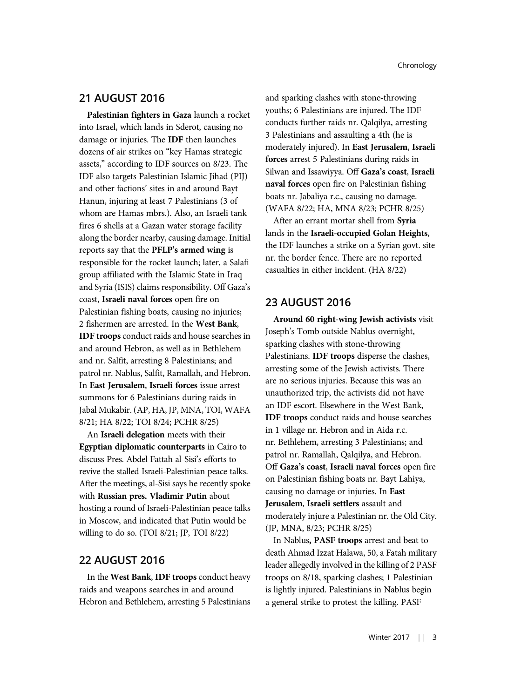### 21 AUGUST 2016

Palestinian fighters in Gaza launch a rocket into Israel, which lands in Sderot, causing no damage or injuries. The IDF then launches dozens of air strikes on "key Hamas strategic assets," according to IDF sources on 8/23. The IDF also targets Palestinian Islamic Jihad (PIJ) and other factions' sites in and around Bayt Hanun, injuring at least 7 Palestinians (3 of whom are Hamas mbrs.). Also, an Israeli tank fires 6 shells at a Gazan water storage facility along the border nearby, causing damage. Initial reports say that the PFLP's armed wing is responsible for the rocket launch; later, a Salafi group affiliated with the Islamic State in Iraq and Syria (ISIS) claims responsibility. Off Gaza's coast, Israeli naval forces open fire on Palestinian fishing boats, causing no injuries; 2 fishermen are arrested. In the West Bank, IDF troops conduct raids and house searches in and around Hebron, as well as in Bethlehem and nr. Salfit, arresting 8 Palestinians; and patrol nr. Nablus, Salfit, Ramallah, and Hebron. In East Jerusalem, Israeli forces issue arrest summons for 6 Palestinians during raids in Jabal Mukabir. (AP, HA, JP, MNA, TOI, WAFA 8/21; HA 8/22; TOI 8/24; PCHR 8/25)

An Israeli delegation meets with their Egyptian diplomatic counterparts in Cairo to discuss Pres. Abdel Fattah al-Sisi's efforts to revive the stalled Israeli-Palestinian peace talks. After the meetings, al-Sisi says he recently spoke with Russian pres. Vladimir Putin about hosting a round of Israeli-Palestinian peace talks in Moscow, and indicated that Putin would be willing to do so. (TOI 8/21; JP, TOI 8/22)

### 22 AUGUST 2016

In the West Bank, IDF troops conduct heavy raids and weapons searches in and around Hebron and Bethlehem, arresting 5 Palestinians and sparking clashes with stone-throwing youths; 6 Palestinians are injured. The IDF conducts further raids nr. Qalqilya, arresting 3 Palestinians and assaulting a 4th (he is moderately injured). In East Jerusalem, Israeli forces arrest 5 Palestinians during raids in Silwan and Issawiyya. Off Gaza's coast, Israeli naval forces open fire on Palestinian fishing boats nr. Jabaliya r.c., causing no damage. (WAFA 8/22; HA, MNA 8/23; PCHR 8/25)

After an errant mortar shell from Syria lands in the Israeli-occupied Golan Heights, the IDF launches a strike on a Syrian govt. site nr. the border fence. There are no reported casualties in either incident. (HA 8/22)

### 23 AUGUST 2016

Around 60 right-wing Jewish activists visit Joseph's Tomb outside Nablus overnight, sparking clashes with stone-throwing Palestinians. IDF troops disperse the clashes, arresting some of the Jewish activists. There are no serious injuries. Because this was an unauthorized trip, the activists did not have an IDF escort. Elsewhere in the West Bank, IDF troops conduct raids and house searches in 1 village nr. Hebron and in Aida r.c. nr. Bethlehem, arresting 3 Palestinians; and patrol nr. Ramallah, Qalqilya, and Hebron. Off Gaza's coast, Israeli naval forces open fire on Palestinian fishing boats nr. Bayt Lahiya, causing no damage or injuries. In East Jerusalem, Israeli settlers assault and moderately injure a Palestinian nr. the Old City. (JP, MNA, 8/23; PCHR 8/25)

In Nablus, PASF troops arrest and beat to death Ahmad Izzat Halawa, 50, a Fatah military leader allegedly involved in the killing of 2 PASF troops on 8/18, sparking clashes; 1 Palestinian is lightly injured. Palestinians in Nablus begin a general strike to protest the killing. PASF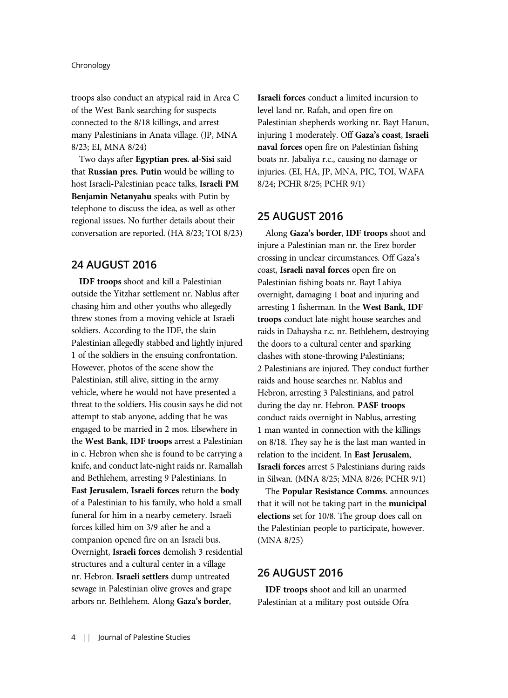troops also conduct an atypical raid in Area C of the West Bank searching for suspects connected to the 8/18 killings, and arrest many Palestinians in Anata village. (JP, MNA 8/23; EI, MNA 8/24)

Two days after Egyptian pres. al-Sisi said that Russian pres. Putin would be willing to host Israeli-Palestinian peace talks, Israeli PM Benjamin Netanyahu speaks with Putin by telephone to discuss the idea, as well as other regional issues. No further details about their conversation are reported. (HA 8/23; TOI 8/23)

### 24 AUGUST 2016

IDF troops shoot and kill a Palestinian outside the Yitzhar settlement nr. Nablus after chasing him and other youths who allegedly threw stones from a moving vehicle at Israeli soldiers. According to the IDF, the slain Palestinian allegedly stabbed and lightly injured 1 of the soldiers in the ensuing confrontation. However, photos of the scene show the Palestinian, still alive, sitting in the army vehicle, where he would not have presented a threat to the soldiers. His cousin says he did not attempt to stab anyone, adding that he was engaged to be married in 2 mos. Elsewhere in the West Bank, IDF troops arrest a Palestinian in c. Hebron when she is found to be carrying a knife, and conduct late-night raids nr. Ramallah and Bethlehem, arresting 9 Palestinians. In East Jerusalem, Israeli forces return the body of a Palestinian to his family, who hold a small funeral for him in a nearby cemetery. Israeli forces killed him on 3/9 after he and a companion opened fire on an Israeli bus. Overnight, Israeli forces demolish 3 residential structures and a cultural center in a village nr. Hebron. Israeli settlers dump untreated sewage in Palestinian olive groves and grape arbors nr. Bethlehem. Along Gaza's border,

Israeli forces conduct a limited incursion to level land nr. Rafah, and open fire on Palestinian shepherds working nr. Bayt Hanun, injuring 1 moderately. Off Gaza's coast, Israeli naval forces open fire on Palestinian fishing boats nr. Jabaliya r.c., causing no damage or injuries. (EI, HA, JP, MNA, PIC, TOI, WAFA 8/24; PCHR 8/25; PCHR 9/1)

### 25 AUGUST 2016

Along Gaza's border, IDF troops shoot and injure a Palestinian man nr. the Erez border crossing in unclear circumstances. Off Gaza's coast, Israeli naval forces open fire on Palestinian fishing boats nr. Bayt Lahiya overnight, damaging 1 boat and injuring and arresting 1 fisherman. In the West Bank, IDF troops conduct late-night house searches and raids in Dahaysha r.c. nr. Bethlehem, destroying the doors to a cultural center and sparking clashes with stone-throwing Palestinians; 2 Palestinians are injured. They conduct further raids and house searches nr. Nablus and Hebron, arresting 3 Palestinians, and patrol during the day nr. Hebron. PASF troops conduct raids overnight in Nablus, arresting 1 man wanted in connection with the killings on 8/18. They say he is the last man wanted in relation to the incident. In East Jerusalem, Israeli forces arrest 5 Palestinians during raids in Silwan. (MNA 8/25; MNA 8/26; PCHR 9/1)

The Popular Resistance Comms. announces that it will not be taking part in the municipal elections set for 10/8. The group does call on the Palestinian people to participate, however. (MNA 8/25)

# 26 AUGUST 2016

IDF troops shoot and kill an unarmed Palestinian at a military post outside Ofra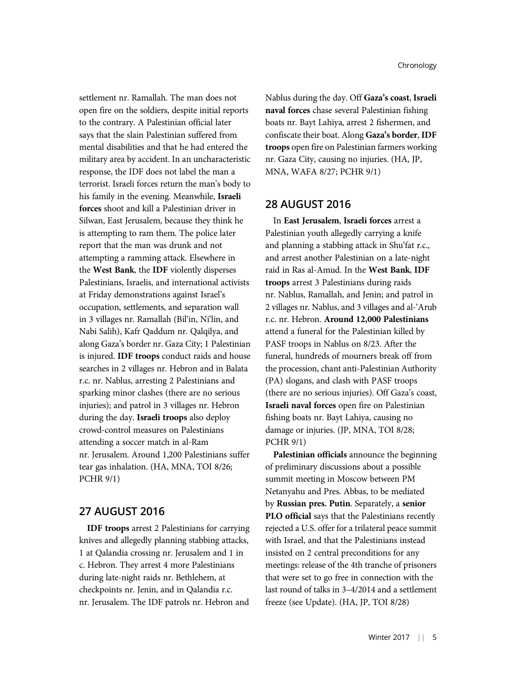settlement nr. Ramallah. The man does not open fire on the soldiers, despite initial reports to the contrary. A Palestinian official later says that the slain Palestinian suffered from mental disabilities and that he had entered the military area by accident. In an uncharacteristic response, the IDF does not label the man a terrorist. Israeli forces return the man's body to his family in the evening. Meanwhile, Israeli forces shoot and kill a Palestinian driver in Silwan, East Jerusalem, because they think he is attempting to ram them. The police later report that the man was drunk and not attempting a ramming attack. Elsewhere in the West Bank, the IDF violently disperses Palestinians, Israelis, and international activists at Friday demonstrations against Israel's occupation, settlements, and separation wall in 3 villages nr. Ramallah (Bil'in, Ni'lin, and Nabi Salih), Kafr Qaddum nr. Qalqilya, and along Gaza's border nr. Gaza City; 1 Palestinian is injured. IDF troops conduct raids and house searches in 2 villages nr. Hebron and in Balata r.c. nr. Nablus, arresting 2 Palestinians and sparking minor clashes (there are no serious injuries); and patrol in 3 villages nr. Hebron during the day. Israeli troops also deploy crowd-control measures on Palestinians attending a soccer match in al-Ram nr. Jerusalem. Around 1,200 Palestinians suffer tear gas inhalation. (HA, MNA, TOI 8/26; PCHR 9/1)

# 27 AUGUST 2016

IDF troops arrest 2 Palestinians for carrying knives and allegedly planning stabbing attacks, 1 at Qalandia crossing nr. Jerusalem and 1 in c. Hebron. They arrest 4 more Palestinians during late-night raids nr. Bethlehem, at checkpoints nr. Jenin, and in Qalandia r.c. nr. Jerusalem. The IDF patrols nr. Hebron and Nablus during the day. Off Gaza's coast, Israeli naval forces chase several Palestinian fishing boats nr. Bayt Lahiya, arrest 2 fishermen, and confiscate their boat. Along Gaza's border, IDF troops open fire on Palestinian farmers working nr. Gaza City, causing no injuries. (HA, JP, MNA, WAFA 8/27; PCHR 9/1)

# 28 AUGUST 2016

In East Jerusalem, Israeli forces arrest a Palestinian youth allegedly carrying a knife and planning a stabbing attack in Shu'fat r.c., and arrest another Palestinian on a late-night raid in Ras al-Amud. In the West Bank, IDF troops arrest 3 Palestinians during raids nr. Nablus, Ramallah, and Jenin; and patrol in 2 villages nr. Nablus, and 3 villages and al-'Arub r.c. nr. Hebron. Around 12,000 Palestinians attend a funeral for the Palestinian killed by PASF troops in Nablus on 8/23. After the funeral, hundreds of mourners break off from the procession, chant anti-Palestinian Authority (PA) slogans, and clash with PASF troops (there are no serious injuries). Off Gaza's coast, Israeli naval forces open fire on Palestinian fishing boats nr. Bayt Lahiya, causing no damage or injuries. (JP, MNA, TOI 8/28; PCHR 9/1)

Palestinian officials announce the beginning of preliminary discussions about a possible summit meeting in Moscow between PM Netanyahu and Pres. Abbas, to be mediated by Russian pres. Putin. Separately, a senior PLO official says that the Palestinians recently rejected a U.S. offer for a trilateral peace summit with Israel, and that the Palestinians instead insisted on 2 central preconditions for any meetings: release of the 4th tranche of prisoners that were set to go free in connection with the last round of talks in 3–4/2014 and a settlement freeze (see Update). (HA, JP, TOI 8/28)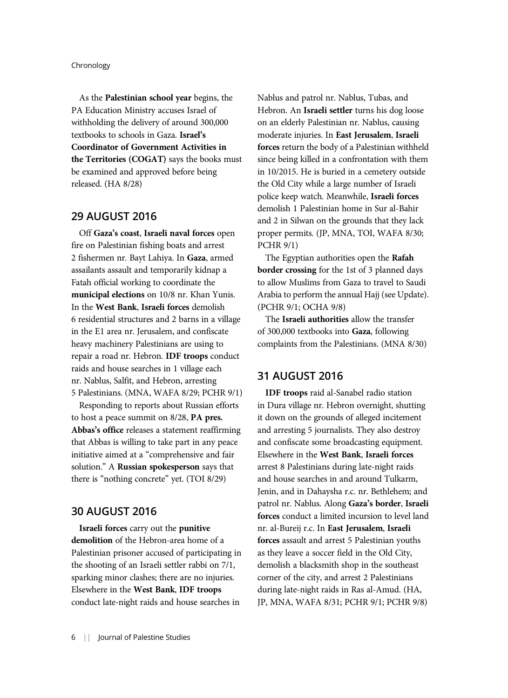As the Palestinian school year begins, the PA Education Ministry accuses Israel of withholding the delivery of around 300,000 textbooks to schools in Gaza. Israel's Coordinator of Government Activities in the Territories (COGAT) says the books must be examined and approved before being released. (HA 8/28)

### 29 AUGUST 2016

Off Gaza's coast, Israeli naval forces open fire on Palestinian fishing boats and arrest 2 fishermen nr. Bayt Lahiya. In Gaza, armed assailants assault and temporarily kidnap a Fatah official working to coordinate the municipal elections on 10/8 nr. Khan Yunis. In the West Bank, Israeli forces demolish 6 residential structures and 2 barns in a village in the E1 area nr. Jerusalem, and confiscate heavy machinery Palestinians are using to repair a road nr. Hebron. IDF troops conduct raids and house searches in 1 village each nr. Nablus, Salfit, and Hebron, arresting 5 Palestinians. (MNA, WAFA 8/29; PCHR 9/1)

Responding to reports about Russian efforts to host a peace summit on 8/28, PA pres. Abbas's office releases a statement reaffirming that Abbas is willing to take part in any peace initiative aimed at a "comprehensive and fair solution." A Russian spokesperson says that there is "nothing concrete" yet. (TOI 8/29)

### 30 AUGUST 2016

Israeli forces carry out the punitive demolition of the Hebron-area home of a Palestinian prisoner accused of participating in the shooting of an Israeli settler rabbi on 7/1, sparking minor clashes; there are no injuries. Elsewhere in the West Bank, IDF troops conduct late-night raids and house searches in

Nablus and patrol nr. Nablus, Tubas, and Hebron. An Israeli settler turns his dog loose on an elderly Palestinian nr. Nablus, causing moderate injuries. In East Jerusalem, Israeli forces return the body of a Palestinian withheld since being killed in a confrontation with them in 10/2015. He is buried in a cemetery outside the Old City while a large number of Israeli police keep watch. Meanwhile, Israeli forces demolish 1 Palestinian home in Sur al-Bahir and 2 in Silwan on the grounds that they lack proper permits. (JP, MNA, TOI, WAFA 8/30; PCHR 9/1)

The Egyptian authorities open the Rafah border crossing for the 1st of 3 planned days to allow Muslims from Gaza to travel to Saudi Arabia to perform the annual Hajj (see Update). (PCHR 9/1; OCHA 9/8)

The Israeli authorities allow the transfer of 300,000 textbooks into Gaza, following complaints from the Palestinians. (MNA 8/30)

### 31 AUGUST 2016

IDF troops raid al-Sanabel radio station in Dura village nr. Hebron overnight, shutting it down on the grounds of alleged incitement and arresting 5 journalists. They also destroy and confiscate some broadcasting equipment. Elsewhere in the West Bank, Israeli forces arrest 8 Palestinians during late-night raids and house searches in and around Tulkarm, Jenin, and in Dahaysha r.c. nr. Bethlehem; and patrol nr. Nablus. Along Gaza's border, Israeli forces conduct a limited incursion to level land nr. al-Bureij r.c. In East Jerusalem, Israeli forces assault and arrest 5 Palestinian youths as they leave a soccer field in the Old City, demolish a blacksmith shop in the southeast corner of the city, and arrest 2 Palestinians during late-night raids in Ras al-Amud. (HA, JP, MNA, WAFA 8/31; PCHR 9/1; PCHR 9/8)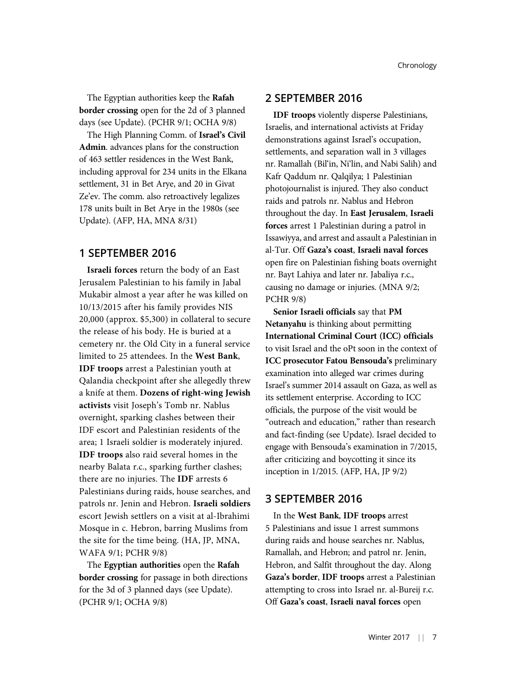The Egyptian authorities keep the Rafah border crossing open for the 2d of 3 planned days (see Update). (PCHR 9/1; OCHA 9/8)

The High Planning Comm. of Israel's Civil Admin. advances plans for the construction of 463 settler residences in the West Bank, including approval for 234 units in the Elkana settlement, 31 in Bet Arye, and 20 in Givat Ze'ev. The comm. also retroactively legalizes 178 units built in Bet Arye in the 1980s (see Update). (AFP, HA, MNA 8/31)

# 1 SEPTEMBER 2016

Israeli forces return the body of an East Jerusalem Palestinian to his family in Jabal Mukabir almost a year after he was killed on 10/13/2015 after his family provides NIS 20,000 (approx. \$5,300) in collateral to secure the release of his body. He is buried at a cemetery nr. the Old City in a funeral service limited to 25 attendees. In the West Bank, IDF troops arrest a Palestinian youth at Qalandia checkpoint after she allegedly threw a knife at them. Dozens of right-wing Jewish activists visit Joseph's Tomb nr. Nablus overnight, sparking clashes between their IDF escort and Palestinian residents of the area; 1 Israeli soldier is moderately injured. IDF troops also raid several homes in the nearby Balata r.c., sparking further clashes; there are no injuries. The IDF arrests 6 Palestinians during raids, house searches, and patrols nr. Jenin and Hebron. Israeli soldiers escort Jewish settlers on a visit at al-Ibrahimi Mosque in c. Hebron, barring Muslims from the site for the time being. (HA, JP, MNA, WAFA 9/1; PCHR 9/8)

The Egyptian authorities open the Rafah border crossing for passage in both directions for the 3d of 3 planned days (see Update). (PCHR 9/1; OCHA 9/8)

### 2 SEPTEMBER 2016

IDF troops violently disperse Palestinians, Israelis, and international activists at Friday demonstrations against Israel's occupation, settlements, and separation wall in 3 villages nr. Ramallah (Bil'in, Ni'lin, and Nabi Salih) and Kafr Qaddum nr. Qalqilya; 1 Palestinian photojournalist is injured. They also conduct raids and patrols nr. Nablus and Hebron throughout the day. In East Jerusalem, Israeli forces arrest 1 Palestinian during a patrol in Issawiyya, and arrest and assault a Palestinian in al-Tur. Off Gaza's coast, Israeli naval forces open fire on Palestinian fishing boats overnight nr. Bayt Lahiya and later nr. Jabaliya r.c., causing no damage or injuries. (MNA 9/2; PCHR 9/8)

Senior Israeli officials say that PM Netanyahu is thinking about permitting International Criminal Court (ICC) officials to visit Israel and the oPt soon in the context of ICC prosecutor Fatou Bensouda's preliminary examination into alleged war crimes during Israel's summer 2014 assault on Gaza, as well as its settlement enterprise. According to ICC officials, the purpose of the visit would be "outreach and education," rather than research and fact-finding (see Update). Israel decided to engage with Bensouda's examination in 7/2015, after criticizing and boycotting it since its inception in 1/2015. (AFP, HA, JP 9/2)

# 3 SEPTEMBER 2016

In the West Bank, IDF troops arrest 5 Palestinians and issue 1 arrest summons during raids and house searches nr. Nablus, Ramallah, and Hebron; and patrol nr. Jenin, Hebron, and Salfit throughout the day. Along Gaza's border, IDF troops arrest a Palestinian attempting to cross into Israel nr. al-Bureij r.c. Off Gaza's coast, Israeli naval forces open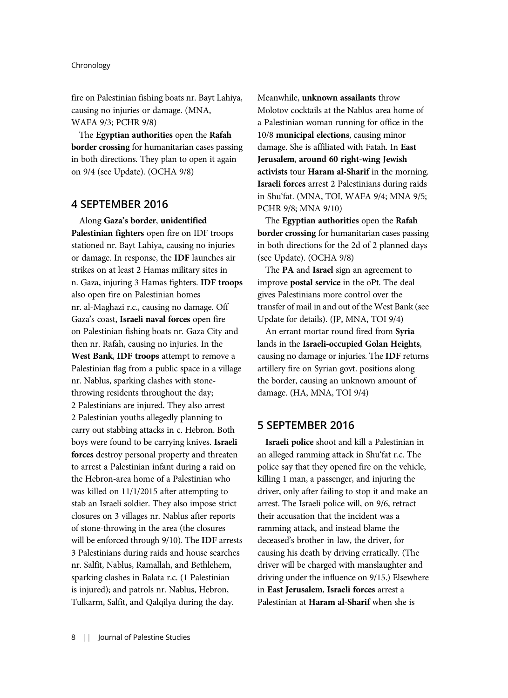fire on Palestinian fishing boats nr. Bayt Lahiya, causing no injuries or damage. (MNA, WAFA 9/3; PCHR 9/8)

The Egyptian authorities open the Rafah border crossing for humanitarian cases passing in both directions. They plan to open it again on 9/4 (see Update). (OCHA 9/8)

### 4 SEPTEMBER 2016

Along Gaza's border, unidentified Palestinian fighters open fire on IDF troops stationed nr. Bayt Lahiya, causing no injuries or damage. In response, the IDF launches air strikes on at least 2 Hamas military sites in n. Gaza, injuring 3 Hamas fighters. IDF troops also open fire on Palestinian homes nr. al-Maghazi r.c., causing no damage. Off Gaza's coast, Israeli naval forces open fire on Palestinian fishing boats nr. Gaza City and then nr. Rafah, causing no injuries. In the West Bank, IDF troops attempt to remove a Palestinian flag from a public space in a village nr. Nablus, sparking clashes with stonethrowing residents throughout the day; 2 Palestinians are injured. They also arrest 2 Palestinian youths allegedly planning to carry out stabbing attacks in c. Hebron. Both boys were found to be carrying knives. Israeli forces destroy personal property and threaten to arrest a Palestinian infant during a raid on the Hebron-area home of a Palestinian who was killed on 11/1/2015 after attempting to stab an Israeli soldier. They also impose strict closures on 3 villages nr. Nablus after reports of stone-throwing in the area (the closures will be enforced through 9/10). The IDF arrests 3 Palestinians during raids and house searches nr. Salfit, Nablus, Ramallah, and Bethlehem, sparking clashes in Balata r.c. (1 Palestinian is injured); and patrols nr. Nablus, Hebron, Tulkarm, Salfit, and Qalqilya during the day.

Meanwhile, unknown assailants throw Molotov cocktails at the Nablus-area home of a Palestinian woman running for office in the 10/8 municipal elections, causing minor damage. She is affiliated with Fatah. In East Jerusalem, around 60 right-wing Jewish activists tour Haram al-Sharif in the morning. Israeli forces arrest 2 Palestinians during raids in Shu'fat. (MNA, TOI, WAFA 9/4; MNA 9/5; PCHR 9/8; MNA 9/10)

The Egyptian authorities open the Rafah border crossing for humanitarian cases passing in both directions for the 2d of 2 planned days (see Update). (OCHA 9/8)

The PA and Israel sign an agreement to improve postal service in the oPt. The deal gives Palestinians more control over the transfer of mail in and out of the West Bank (see Update for details). (JP, MNA, TOI 9/4)

An errant mortar round fired from Syria lands in the Israeli-occupied Golan Heights, causing no damage or injuries. The IDF returns artillery fire on Syrian govt. positions along the border, causing an unknown amount of damage. (HA, MNA, TOI 9/4)

### 5 SEPTEMBER 2016

Israeli police shoot and kill a Palestinian in an alleged ramming attack in Shu'fat r.c. The police say that they opened fire on the vehicle, killing 1 man, a passenger, and injuring the driver, only after failing to stop it and make an arrest. The Israeli police will, on 9/6, retract their accusation that the incident was a ramming attack, and instead blame the deceased's brother-in-law, the driver, for causing his death by driving erratically. (The driver will be charged with manslaughter and driving under the influence on 9/15.) Elsewhere in East Jerusalem, Israeli forces arrest a Palestinian at Haram al-Sharif when she is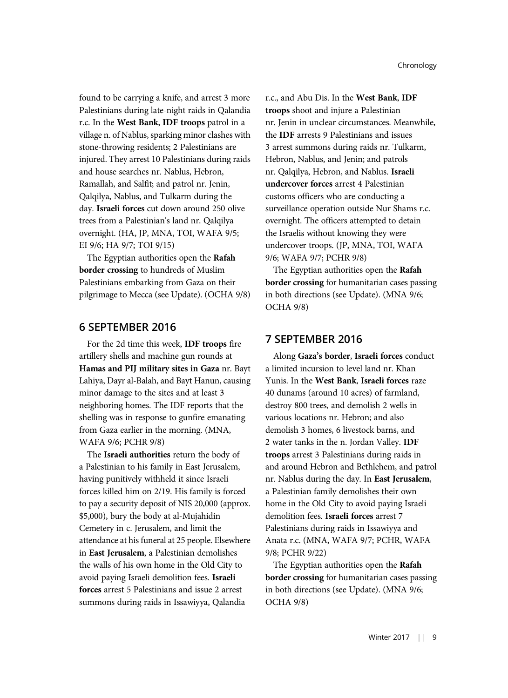found to be carrying a knife, and arrest 3 more Palestinians during late-night raids in Qalandia r.c. In the West Bank, IDF troops patrol in a village n. of Nablus, sparking minor clashes with stone-throwing residents; 2 Palestinians are injured. They arrest 10 Palestinians during raids and house searches nr. Nablus, Hebron, Ramallah, and Salfit; and patrol nr. Jenin, Qalqilya, Nablus, and Tulkarm during the day. Israeli forces cut down around 250 olive trees from a Palestinian's land nr. Qalqilya overnight. (HA, JP, MNA, TOI, WAFA 9/5; EI 9/6; HA 9/7; TOI 9/15)

The Egyptian authorities open the Rafah border crossing to hundreds of Muslim Palestinians embarking from Gaza on their pilgrimage to Mecca (see Update). (OCHA 9/8)

### 6 SEPTEMBER 2016

For the 2d time this week, IDF troops fire artillery shells and machine gun rounds at Hamas and PIJ military sites in Gaza nr. Bayt Lahiya, Dayr al-Balah, and Bayt Hanun, causing minor damage to the sites and at least 3 neighboring homes. The IDF reports that the shelling was in response to gunfire emanating from Gaza earlier in the morning. (MNA, WAFA 9/6; PCHR 9/8)

The Israeli authorities return the body of a Palestinian to his family in East Jerusalem, having punitively withheld it since Israeli forces killed him on 2/19. His family is forced to pay a security deposit of NIS 20,000 (approx. \$5,000), bury the body at al-Mujahidin Cemetery in c. Jerusalem, and limit the attendance at his funeral at 25 people. Elsewhere in East Jerusalem, a Palestinian demolishes the walls of his own home in the Old City to avoid paying Israeli demolition fees. Israeli forces arrest 5 Palestinians and issue 2 arrest summons during raids in Issawiyya, Qalandia

r.c., and Abu Dis. In the West Bank, IDF troops shoot and injure a Palestinian nr. Jenin in unclear circumstances. Meanwhile, the IDF arrests 9 Palestinians and issues 3 arrest summons during raids nr. Tulkarm, Hebron, Nablus, and Jenin; and patrols nr. Qalqilya, Hebron, and Nablus. Israeli undercover forces arrest 4 Palestinian customs officers who are conducting a surveillance operation outside Nur Shams r.c. overnight. The officers attempted to detain the Israelis without knowing they were undercover troops. (JP, MNA, TOI, WAFA 9/6; WAFA 9/7; PCHR 9/8)

The Egyptian authorities open the Rafah border crossing for humanitarian cases passing in both directions (see Update). (MNA 9/6; OCHA 9/8)

### 7 SEPTEMBER 2016

Along Gaza's border, Israeli forces conduct a limited incursion to level land nr. Khan Yunis. In the West Bank, Israeli forces raze 40 dunams (around 10 acres) of farmland, destroy 800 trees, and demolish 2 wells in various locations nr. Hebron; and also demolish 3 homes, 6 livestock barns, and 2 water tanks in the n. Jordan Valley. IDF troops arrest 3 Palestinians during raids in and around Hebron and Bethlehem, and patrol nr. Nablus during the day. In East Jerusalem, a Palestinian family demolishes their own home in the Old City to avoid paying Israeli demolition fees. Israeli forces arrest 7 Palestinians during raids in Issawiyya and Anata r.c. (MNA, WAFA 9/7; PCHR, WAFA 9/8; PCHR 9/22)

The Egyptian authorities open the **Rafah** border crossing for humanitarian cases passing in both directions (see Update). (MNA 9/6; OCHA 9/8)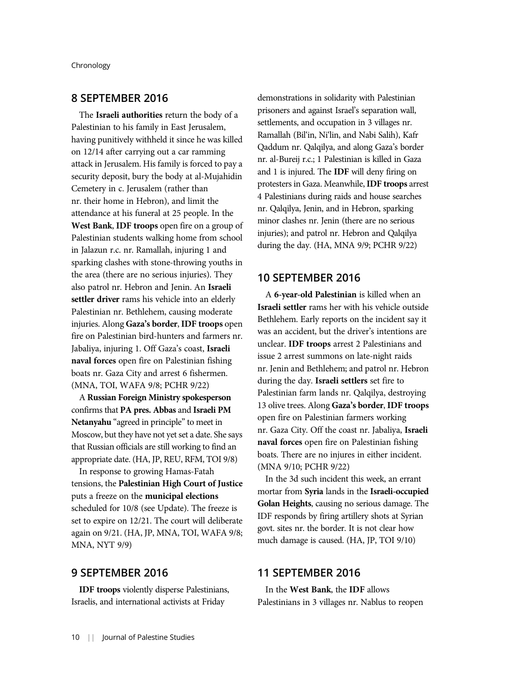# 8 SEPTEMBER 2016

The Israeli authorities return the body of a Palestinian to his family in East Jerusalem, having punitively withheld it since he was killed on 12/14 after carrying out a car ramming attack in Jerusalem. His family is forced to pay a security deposit, bury the body at al-Mujahidin Cemetery in c. Jerusalem (rather than nr. their home in Hebron), and limit the attendance at his funeral at 25 people. In the West Bank, IDF troops open fire on a group of Palestinian students walking home from school in Jalazun r.c. nr. Ramallah, injuring 1 and sparking clashes with stone-throwing youths in the area (there are no serious injuries). They also patrol nr. Hebron and Jenin. An Israeli settler driver rams his vehicle into an elderly Palestinian nr. Bethlehem, causing moderate injuries. Along Gaza's border, IDF troops open fire on Palestinian bird-hunters and farmers nr. Jabaliya, injuring 1. Off Gaza's coast, Israeli naval forces open fire on Palestinian fishing boats nr. Gaza City and arrest 6 fishermen. (MNA, TOI, WAFA 9/8; PCHR 9/22)

A Russian Foreign Ministry spokesperson confirms that PA pres. Abbas and Israeli PM Netanyahu "agreed in principle" to meet in Moscow, but they have not yet set a date. She says that Russian officials are still working to find an appropriate date. (HA, JP, REU, RFM, TOI 9/8)

In response to growing Hamas-Fatah tensions, the Palestinian High Court of Justice puts a freeze on the municipal elections scheduled for 10/8 (see Update). The freeze is set to expire on 12/21. The court will deliberate again on 9/21. (HA, JP, MNA, TOI, WAFA 9/8; MNA, NYT 9/9)

### 9 SEPTEMBER 2016

IDF troops violently disperse Palestinians, Israelis, and international activists at Friday

demonstrations in solidarity with Palestinian prisoners and against Israel's separation wall, settlements, and occupation in 3 villages nr. Ramallah (Bil'in, Ni'lin, and Nabi Salih), Kafr Qaddum nr. Qalqilya, and along Gaza's border nr. al-Bureij r.c.; 1 Palestinian is killed in Gaza and 1 is injured. The IDF will deny firing on protesters in Gaza. Meanwhile, IDF troops arrest 4 Palestinians during raids and house searches nr. Qalqilya, Jenin, and in Hebron, sparking minor clashes nr. Jenin (there are no serious injuries); and patrol nr. Hebron and Qalqilya during the day. (HA, MNA 9/9; PCHR 9/22)

### 10 SEPTEMBER 2016

A 6-year-old Palestinian is killed when an Israeli settler rams her with his vehicle outside Bethlehem. Early reports on the incident say it was an accident, but the driver's intentions are unclear. IDF troops arrest 2 Palestinians and issue 2 arrest summons on late-night raids nr. Jenin and Bethlehem; and patrol nr. Hebron during the day. Israeli settlers set fire to Palestinian farm lands nr. Qalqilya, destroying 13 olive trees. Along Gaza's border, IDF troops open fire on Palestinian farmers working nr. Gaza City. Off the coast nr. Jabaliya, Israeli naval forces open fire on Palestinian fishing boats. There are no injures in either incident. (MNA 9/10; PCHR 9/22)

In the 3d such incident this week, an errant mortar from Syria lands in the Israeli-occupied Golan Heights, causing no serious damage. The IDF responds by firing artillery shots at Syrian govt. sites nr. the border. It is not clear how much damage is caused. (HA, JP, TOI 9/10)

# 11 SEPTEMBER 2016

In the West Bank, the IDF allows Palestinians in 3 villages nr. Nablus to reopen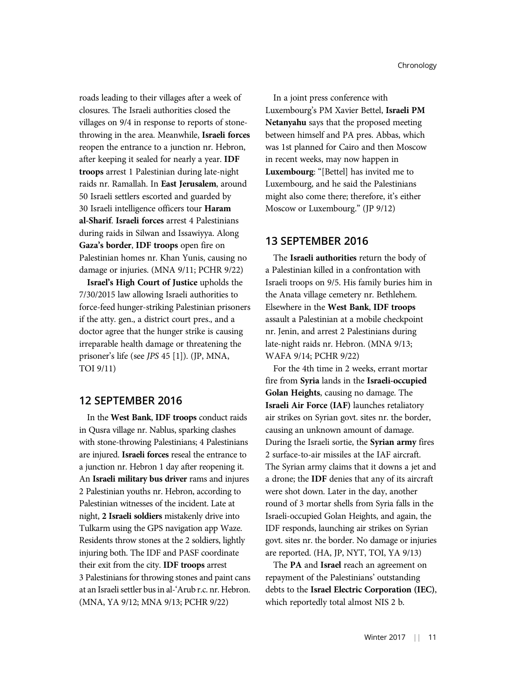roads leading to their villages after a week of closures. The Israeli authorities closed the villages on 9/4 in response to reports of stonethrowing in the area. Meanwhile, Israeli forces reopen the entrance to a junction nr. Hebron, after keeping it sealed for nearly a year. IDF troops arrest 1 Palestinian during late-night raids nr. Ramallah. In East Jerusalem, around 50 Israeli settlers escorted and guarded by 30 Israeli intelligence officers tour Haram al-Sharif. Israeli forces arrest 4 Palestinians during raids in Silwan and Issawiyya. Along Gaza's border, IDF troops open fire on Palestinian homes nr. Khan Yunis, causing no damage or injuries. (MNA 9/11; PCHR 9/22)

Israel's High Court of Justice upholds the 7/30/2015 law allowing Israeli authorities to force-feed hunger-striking Palestinian prisoners if the atty. gen., a district court pres., and a doctor agree that the hunger strike is causing irreparable health damage or threatening the prisoner's life (see JPS 45 [1]). (JP, MNA, TOI 9/11)

### 12 SEPTEMBER 2016

In the West Bank, IDF troops conduct raids in Qusra village nr. Nablus, sparking clashes with stone-throwing Palestinians; 4 Palestinians are injured. Israeli forces reseal the entrance to a junction nr. Hebron 1 day after reopening it. An Israeli military bus driver rams and injures 2 Palestinian youths nr. Hebron, according to Palestinian witnesses of the incident. Late at night, 2 Israeli soldiers mistakenly drive into Tulkarm using the GPS navigation app Waze. Residents throw stones at the 2 soldiers, lightly injuring both. The IDF and PASF coordinate their exit from the city. IDF troops arrest 3 Palestinians for throwing stones and paint cans at an Israeli settler bus in al-'Arub r.c. nr. Hebron. (MNA, YA 9/12; MNA 9/13; PCHR 9/22)

In a joint press conference with Luxembourg's PM Xavier Bettel, Israeli PM Netanyahu says that the proposed meeting between himself and PA pres. Abbas, which was 1st planned for Cairo and then Moscow in recent weeks, may now happen in Luxembourg: "[Bettel] has invited me to Luxembourg, and he said the Palestinians might also come there; therefore, it's either Moscow or Luxembourg." (JP 9/12)

### 13 SEPTEMBER 2016

The Israeli authorities return the body of a Palestinian killed in a confrontation with Israeli troops on 9/5. His family buries him in the Anata village cemetery nr. Bethlehem. Elsewhere in the West Bank, IDF troops assault a Palestinian at a mobile checkpoint nr. Jenin, and arrest 2 Palestinians during late-night raids nr. Hebron. (MNA 9/13; WAFA 9/14; PCHR 9/22)

For the 4th time in 2 weeks, errant mortar fire from Syria lands in the Israeli-occupied Golan Heights, causing no damage. The Israeli Air Force (IAF) launches retaliatory air strikes on Syrian govt. sites nr. the border, causing an unknown amount of damage. During the Israeli sortie, the Syrian army fires 2 surface-to-air missiles at the IAF aircraft. The Syrian army claims that it downs a jet and a drone; the IDF denies that any of its aircraft were shot down. Later in the day, another round of 3 mortar shells from Syria falls in the Israeli-occupied Golan Heights, and again, the IDF responds, launching air strikes on Syrian govt. sites nr. the border. No damage or injuries are reported. (HA, JP, NYT, TOI, YA 9/13)

The PA and Israel reach an agreement on repayment of the Palestinians' outstanding debts to the Israel Electric Corporation (IEC), which reportedly total almost NIS 2 b.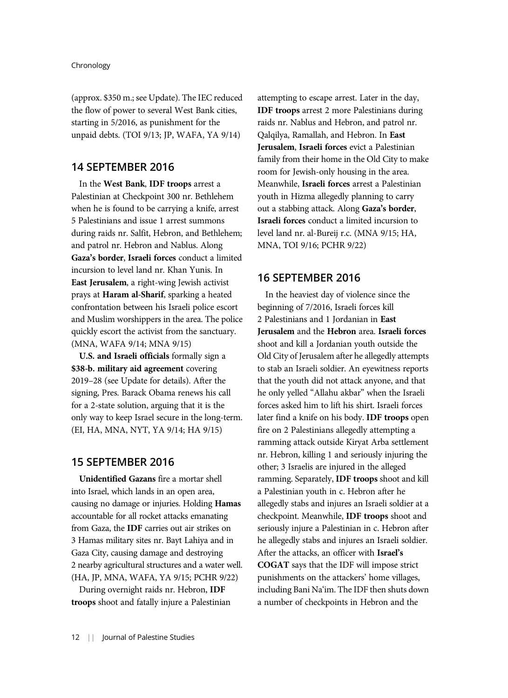(approx. \$350 m.; see Update). The IEC reduced the flow of power to several West Bank cities, starting in 5/2016, as punishment for the unpaid debts. (TOI 9/13; JP, WAFA, YA 9/14)

### 14 SEPTEMBER 2016

In the West Bank, IDF troops arrest a Palestinian at Checkpoint 300 nr. Bethlehem when he is found to be carrying a knife, arrest 5 Palestinians and issue 1 arrest summons during raids nr. Salfit, Hebron, and Bethlehem; and patrol nr. Hebron and Nablus. Along Gaza's border, Israeli forces conduct a limited incursion to level land nr. Khan Yunis. In East Jerusalem, a right-wing Jewish activist prays at Haram al-Sharif, sparking a heated confrontation between his Israeli police escort and Muslim worshippers in the area. The police quickly escort the activist from the sanctuary. (MNA, WAFA 9/14; MNA 9/15)

U.S. and Israeli officials formally sign a \$38-b. military aid agreement covering 2019–28 (see Update for details). After the signing, Pres. Barack Obama renews his call for a 2-state solution, arguing that it is the only way to keep Israel secure in the long-term. (EI, HA, MNA, NYT, YA 9/14; HA 9/15)

### 15 SEPTEMBER 2016

Unidentified Gazans fire a mortar shell into Israel, which lands in an open area, causing no damage or injuries. Holding Hamas accountable for all rocket attacks emanating from Gaza, the IDF carries out air strikes on 3 Hamas military sites nr. Bayt Lahiya and in Gaza City, causing damage and destroying 2 nearby agricultural structures and a water well. (HA, JP, MNA, WAFA, YA 9/15; PCHR 9/22)

During overnight raids nr. Hebron, IDF troops shoot and fatally injure a Palestinian attempting to escape arrest. Later in the day, IDF troops arrest 2 more Palestinians during raids nr. Nablus and Hebron, and patrol nr. Qalqilya, Ramallah, and Hebron. In East Jerusalem, Israeli forces evict a Palestinian family from their home in the Old City to make room for Jewish-only housing in the area. Meanwhile, Israeli forces arrest a Palestinian youth in Hizma allegedly planning to carry out a stabbing attack. Along Gaza's border, Israeli forces conduct a limited incursion to level land nr. al-Bureij r.c. (MNA 9/15; HA, MNA, TOI 9/16; PCHR 9/22)

# 16 SEPTEMBER 2016

In the heaviest day of violence since the beginning of 7/2016, Israeli forces kill 2 Palestinians and 1 Jordanian in East Jerusalem and the Hebron area. Israeli forces shoot and kill a Jordanian youth outside the Old City of Jerusalem after he allegedly attempts to stab an Israeli soldier. An eyewitness reports that the youth did not attack anyone, and that he only yelled "Allahu akbar" when the Israeli forces asked him to lift his shirt. Israeli forces later find a knife on his body. IDF troops open fire on 2 Palestinians allegedly attempting a ramming attack outside Kiryat Arba settlement nr. Hebron, killing 1 and seriously injuring the other; 3 Israelis are injured in the alleged ramming. Separately, IDF troops shoot and kill a Palestinian youth in c. Hebron after he allegedly stabs and injures an Israeli soldier at a checkpoint. Meanwhile, IDF troops shoot and seriously injure a Palestinian in c. Hebron after he allegedly stabs and injures an Israeli soldier. After the attacks, an officer with Israel's COGAT says that the IDF will impose strict punishments on the attackers' home villages, including Bani Na'im. The IDF then shuts down a number of checkpoints in Hebron and the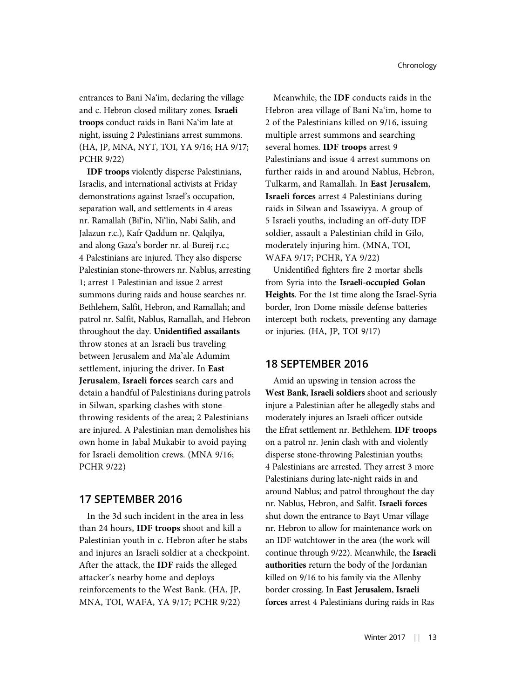entrances to Bani Na'im, declaring the village and c. Hebron closed military zones. Israeli troops conduct raids in Bani Na'im late at night, issuing 2 Palestinians arrest summons. (HA, JP, MNA, NYT, TOI, YA 9/16; HA 9/17; PCHR 9/22)

IDF troops violently disperse Palestinians, Israelis, and international activists at Friday demonstrations against Israel's occupation, separation wall, and settlements in 4 areas nr. Ramallah (Bil'in, Ni'lin, Nabi Salih, and Jalazun r.c.), Kafr Qaddum nr. Qalqilya, and along Gaza's border nr. al-Bureij r.c.; 4 Palestinians are injured. They also disperse Palestinian stone-throwers nr. Nablus, arresting 1; arrest 1 Palestinian and issue 2 arrest summons during raids and house searches nr. Bethlehem, Salfit, Hebron, and Ramallah; and patrol nr. Salfit, Nablus, Ramallah, and Hebron throughout the day. Unidentified assailants throw stones at an Israeli bus traveling between Jerusalem and Ma'ale Adumim settlement, injuring the driver. In East Jerusalem, Israeli forces search cars and detain a handful of Palestinians during patrols in Silwan, sparking clashes with stonethrowing residents of the area; 2 Palestinians are injured. A Palestinian man demolishes his own home in Jabal Mukabir to avoid paying for Israeli demolition crews. (MNA 9/16; PCHR 9/22)

# 17 SEPTEMBER 2016

In the 3d such incident in the area in less than 24 hours, IDF troops shoot and kill a Palestinian youth in c. Hebron after he stabs and injures an Israeli soldier at a checkpoint. After the attack, the IDF raids the alleged attacker's nearby home and deploys reinforcements to the West Bank. (HA, JP, MNA, TOI, WAFA, YA 9/17; PCHR 9/22)

Meanwhile, the IDF conducts raids in the Hebron-area village of Bani Na'im, home to 2 of the Palestinians killed on 9/16, issuing multiple arrest summons and searching several homes. IDF troops arrest 9 Palestinians and issue 4 arrest summons on further raids in and around Nablus, Hebron, Tulkarm, and Ramallah. In East Jerusalem, Israeli forces arrest 4 Palestinians during raids in Silwan and Issawiyya. A group of 5 Israeli youths, including an off-duty IDF soldier, assault a Palestinian child in Gilo, moderately injuring him. (MNA, TOI, WAFA 9/17; PCHR, YA 9/22)

Unidentified fighters fire 2 mortar shells from Syria into the Israeli-occupied Golan Heights. For the 1st time along the Israel-Syria border, Iron Dome missile defense batteries intercept both rockets, preventing any damage or injuries. (HA, JP, TOI 9/17)

### 18 SEPTEMBER 2016

Amid an upswing in tension across the West Bank, Israeli soldiers shoot and seriously injure a Palestinian after he allegedly stabs and moderately injures an Israeli officer outside the Efrat settlement nr. Bethlehem. IDF troops on a patrol nr. Jenin clash with and violently disperse stone-throwing Palestinian youths; 4 Palestinians are arrested. They arrest 3 more Palestinians during late-night raids in and around Nablus; and patrol throughout the day nr. Nablus, Hebron, and Salfit. Israeli forces shut down the entrance to Bayt Umar village nr. Hebron to allow for maintenance work on an IDF watchtower in the area (the work will continue through 9/22). Meanwhile, the Israeli authorities return the body of the Jordanian killed on 9/16 to his family via the Allenby border crossing. In East Jerusalem, Israeli forces arrest 4 Palestinians during raids in Ras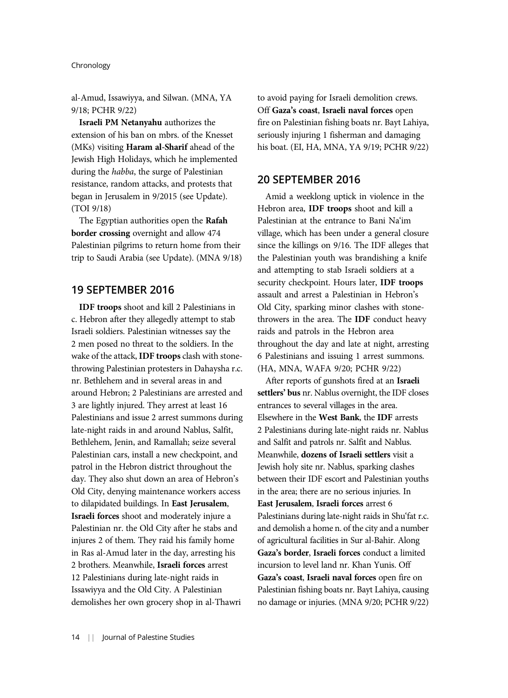al-Amud, Issawiyya, and Silwan. (MNA, YA 9/18; PCHR 9/22)

Israeli PM Netanyahu authorizes the extension of his ban on mbrs. of the Knesset (MKs) visiting Haram al-Sharif ahead of the Jewish High Holidays, which he implemented during the habba, the surge of Palestinian resistance, random attacks, and protests that began in Jerusalem in 9/2015 (see Update). (TOI 9/18)

The Egyptian authorities open the Rafah border crossing overnight and allow 474 Palestinian pilgrims to return home from their trip to Saudi Arabia (see Update). (MNA 9/18)

# 19 SEPTEMBER 2016

IDF troops shoot and kill 2 Palestinians in c. Hebron after they allegedly attempt to stab Israeli soldiers. Palestinian witnesses say the 2 men posed no threat to the soldiers. In the wake of the attack, **IDF troops** clash with stonethrowing Palestinian protesters in Dahaysha r.c. nr. Bethlehem and in several areas in and around Hebron; 2 Palestinians are arrested and 3 are lightly injured. They arrest at least 16 Palestinians and issue 2 arrest summons during late-night raids in and around Nablus, Salfit, Bethlehem, Jenin, and Ramallah; seize several Palestinian cars, install a new checkpoint, and patrol in the Hebron district throughout the day. They also shut down an area of Hebron's Old City, denying maintenance workers access to dilapidated buildings. In East Jerusalem, Israeli forces shoot and moderately injure a Palestinian nr. the Old City after he stabs and injures 2 of them. They raid his family home in Ras al-Amud later in the day, arresting his 2 brothers. Meanwhile, Israeli forces arrest 12 Palestinians during late-night raids in Issawiyya and the Old City. A Palestinian demolishes her own grocery shop in al-Thawri

to avoid paying for Israeli demolition crews. Off Gaza's coast, Israeli naval forces open fire on Palestinian fishing boats nr. Bayt Lahiya, seriously injuring 1 fisherman and damaging his boat. (EI, HA, MNA, YA 9/19; PCHR 9/22)

### 20 SEPTEMBER 2016

Amid a weeklong uptick in violence in the Hebron area, IDF troops shoot and kill a Palestinian at the entrance to Bani Na'im village, which has been under a general closure since the killings on 9/16. The IDF alleges that the Palestinian youth was brandishing a knife and attempting to stab Israeli soldiers at a security checkpoint. Hours later, IDF troops assault and arrest a Palestinian in Hebron's Old City, sparking minor clashes with stonethrowers in the area. The IDF conduct heavy raids and patrols in the Hebron area throughout the day and late at night, arresting 6 Palestinians and issuing 1 arrest summons. (HA, MNA, WAFA 9/20; PCHR 9/22)

After reports of gunshots fired at an Israeli settlers' bus nr. Nablus overnight, the IDF closes entrances to several villages in the area. Elsewhere in the West Bank, the IDF arrests 2 Palestinians during late-night raids nr. Nablus and Salfit and patrols nr. Salfit and Nablus. Meanwhile, dozens of Israeli settlers visit a Jewish holy site nr. Nablus, sparking clashes between their IDF escort and Palestinian youths in the area; there are no serious injuries. In East Jerusalem, Israeli forces arrest 6 Palestinians during late-night raids in Shu'fat r.c. and demolish a home n. of the city and a number of agricultural facilities in Sur al-Bahir. Along Gaza's border, Israeli forces conduct a limited incursion to level land nr. Khan Yunis. Off Gaza's coast, Israeli naval forces open fire on Palestinian fishing boats nr. Bayt Lahiya, causing no damage or injuries. (MNA 9/20; PCHR 9/22)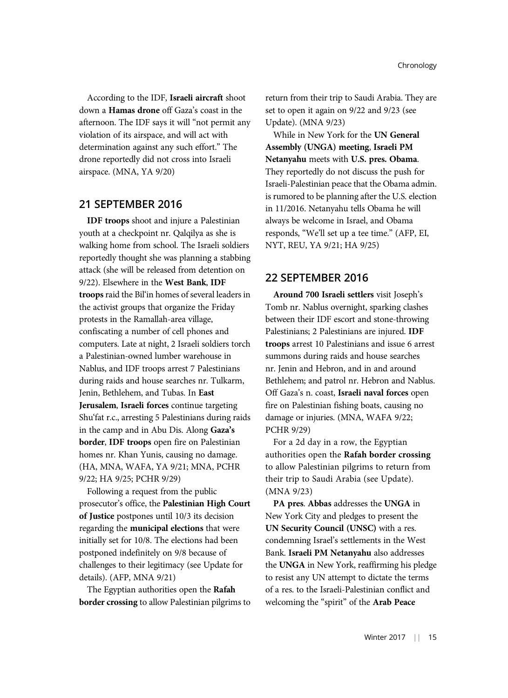According to the IDF, Israeli aircraft shoot down a Hamas drone off Gaza's coast in the afternoon. The IDF says it will "not permit any violation of its airspace, and will act with determination against any such effort." The drone reportedly did not cross into Israeli airspace. (MNA, YA 9/20)

# 21 SEPTEMBER 2016

IDF troops shoot and injure a Palestinian youth at a checkpoint nr. Qalqilya as she is walking home from school. The Israeli soldiers reportedly thought she was planning a stabbing attack (she will be released from detention on 9/22). Elsewhere in the West Bank, IDF troops raid the Bil'in homes of several leaders in the activist groups that organize the Friday protests in the Ramallah-area village, confiscating a number of cell phones and computers. Late at night, 2 Israeli soldiers torch a Palestinian-owned lumber warehouse in Nablus, and IDF troops arrest 7 Palestinians during raids and house searches nr. Tulkarm, Jenin, Bethlehem, and Tubas. In East Jerusalem, Israeli forces continue targeting Shu'fat r.c., arresting 5 Palestinians during raids in the camp and in Abu Dis. Along Gaza's border, IDF troops open fire on Palestinian homes nr. Khan Yunis, causing no damage. (HA, MNA, WAFA, YA 9/21; MNA, PCHR 9/22; HA 9/25; PCHR 9/29)

Following a request from the public prosecutor's office, the Palestinian High Court of Justice postpones until 10/3 its decision regarding the municipal elections that were initially set for 10/8. The elections had been postponed indefinitely on 9/8 because of challenges to their legitimacy (see Update for details). (AFP, MNA 9/21)

The Egyptian authorities open the Rafah border crossing to allow Palestinian pilgrims to return from their trip to Saudi Arabia. They are set to open it again on 9/22 and 9/23 (see Update). (MNA 9/23)

While in New York for the UN General Assembly (UNGA) meeting, Israeli PM Netanyahu meets with U.S. pres. Obama. They reportedly do not discuss the push for Israeli-Palestinian peace that the Obama admin. is rumored to be planning after the U.S. election in 11/2016. Netanyahu tells Obama he will always be welcome in Israel, and Obama responds, "We'll set up a tee time." (AFP, EI, NYT, REU, YA 9/21; HA 9/25)

# 22 SEPTEMBER 2016

Around 700 Israeli settlers visit Joseph's Tomb nr. Nablus overnight, sparking clashes between their IDF escort and stone-throwing Palestinians; 2 Palestinians are injured. IDF troops arrest 10 Palestinians and issue 6 arrest summons during raids and house searches nr. Jenin and Hebron, and in and around Bethlehem; and patrol nr. Hebron and Nablus. Off Gaza's n. coast, Israeli naval forces open fire on Palestinian fishing boats, causing no damage or injuries. (MNA, WAFA 9/22; PCHR 9/29)

For a 2d day in a row, the Egyptian authorities open the Rafah border crossing to allow Palestinian pilgrims to return from their trip to Saudi Arabia (see Update). (MNA 9/23)

PA pres. Abbas addresses the UNGA in New York City and pledges to present the UN Security Council (UNSC) with a res. condemning Israel's settlements in the West Bank. Israeli PM Netanyahu also addresses the UNGA in New York, reaffirming his pledge to resist any UN attempt to dictate the terms of a res. to the Israeli-Palestinian conflict and welcoming the "spirit" of the Arab Peace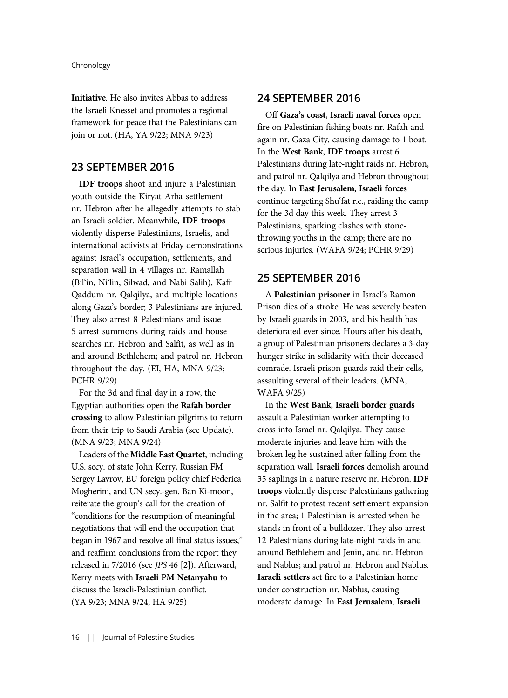Initiative. He also invites Abbas to address the Israeli Knesset and promotes a regional framework for peace that the Palestinians can join or not. (HA, YA 9/22; MNA 9/23)

### 23 SEPTEMBER 2016

IDF troops shoot and injure a Palestinian youth outside the Kiryat Arba settlement nr. Hebron after he allegedly attempts to stab an Israeli soldier. Meanwhile, IDF troops violently disperse Palestinians, Israelis, and international activists at Friday demonstrations against Israel's occupation, settlements, and separation wall in 4 villages nr. Ramallah (Bil'in, Ni'lin, Silwad, and Nabi Salih), Kafr Qaddum nr. Qalqilya, and multiple locations along Gaza's border; 3 Palestinians are injured. They also arrest 8 Palestinians and issue 5 arrest summons during raids and house searches nr. Hebron and Salfit, as well as in and around Bethlehem; and patrol nr. Hebron throughout the day. (EI, HA, MNA 9/23; PCHR 9/29)

For the 3d and final day in a row, the Egyptian authorities open the Rafah border crossing to allow Palestinian pilgrims to return from their trip to Saudi Arabia (see Update). (MNA 9/23; MNA 9/24)

Leaders of the Middle East Quartet, including U.S. secy. of state John Kerry, Russian FM Sergey Lavrov, EU foreign policy chief Federica Mogherini, and UN secy.-gen. Ban Ki-moon, reiterate the group's call for the creation of "conditions for the resumption of meaningful negotiations that will end the occupation that began in 1967 and resolve all final status issues," and reaffirm conclusions from the report they released in 7/2016 (see JPS 46 [2]). Afterward, Kerry meets with Israeli PM Netanyahu to discuss the Israeli-Palestinian conflict. (YA 9/23; MNA 9/24; HA 9/25)

### 24 SEPTEMBER 2016

Off Gaza's coast, Israeli naval forces open fire on Palestinian fishing boats nr. Rafah and again nr. Gaza City, causing damage to 1 boat. In the West Bank, IDF troops arrest 6 Palestinians during late-night raids nr. Hebron, and patrol nr. Qalqilya and Hebron throughout the day. In East Jerusalem, Israeli forces continue targeting Shu'fat r.c., raiding the camp for the 3d day this week. They arrest 3 Palestinians, sparking clashes with stonethrowing youths in the camp; there are no serious injuries. (WAFA 9/24; PCHR 9/29)

# 25 SEPTEMBER 2016

A Palestinian prisoner in Israel's Ramon Prison dies of a stroke. He was severely beaten by Israeli guards in 2003, and his health has deteriorated ever since. Hours after his death, a group of Palestinian prisoners declares a 3-day hunger strike in solidarity with their deceased comrade. Israeli prison guards raid their cells, assaulting several of their leaders. (MNA, WAFA 9/25)

In the West Bank, Israeli border guards assault a Palestinian worker attempting to cross into Israel nr. Qalqilya. They cause moderate injuries and leave him with the broken leg he sustained after falling from the separation wall. Israeli forces demolish around 35 saplings in a nature reserve nr. Hebron. IDF troops violently disperse Palestinians gathering nr. Salfit to protest recent settlement expansion in the area; 1 Palestinian is arrested when he stands in front of a bulldozer. They also arrest 12 Palestinians during late-night raids in and around Bethlehem and Jenin, and nr. Hebron and Nablus; and patrol nr. Hebron and Nablus. Israeli settlers set fire to a Palestinian home under construction nr. Nablus, causing moderate damage. In East Jerusalem, Israeli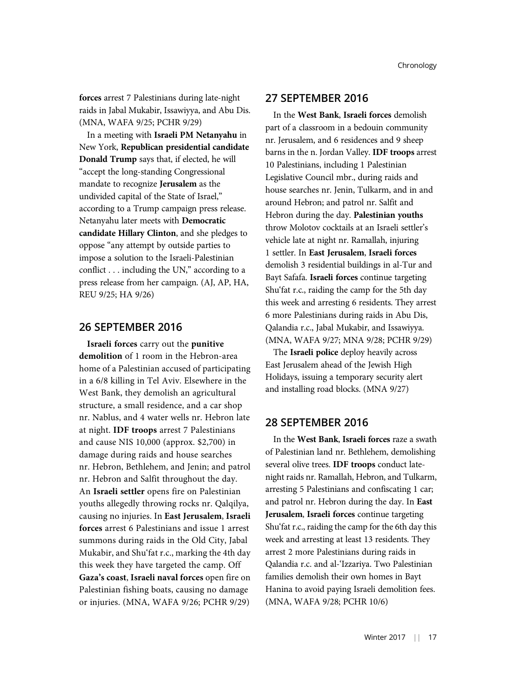forces arrest 7 Palestinians during late-night raids in Jabal Mukabir, Issawiyya, and Abu Dis. (MNA, WAFA 9/25; PCHR 9/29)

In a meeting with Israeli PM Netanyahu in New York, Republican presidential candidate Donald Trump says that, if elected, he will "accept the long-standing Congressional mandate to recognize Jerusalem as the undivided capital of the State of Israel," according to a Trump campaign press release. Netanyahu later meets with Democratic candidate Hillary Clinton, and she pledges to oppose "any attempt by outside parties to impose a solution to the Israeli-Palestinian conflict . . . including the UN," according to a press release from her campaign. (AJ, AP, HA, REU 9/25; HA 9/26)

### 26 SEPTEMBER 2016

Israeli forces carry out the punitive demolition of 1 room in the Hebron-area home of a Palestinian accused of participating in a 6/8 killing in Tel Aviv. Elsewhere in the West Bank, they demolish an agricultural structure, a small residence, and a car shop nr. Nablus, and 4 water wells nr. Hebron late at night. IDF troops arrest 7 Palestinians and cause NIS 10,000 (approx. \$2,700) in damage during raids and house searches nr. Hebron, Bethlehem, and Jenin; and patrol nr. Hebron and Salfit throughout the day. An Israeli settler opens fire on Palestinian youths allegedly throwing rocks nr. Qalqilya, causing no injuries. In East Jerusalem, Israeli forces arrest 6 Palestinians and issue 1 arrest summons during raids in the Old City, Jabal Mukabir, and Shu'fat r.c., marking the 4th day this week they have targeted the camp. Off Gaza's coast, Israeli naval forces open fire on Palestinian fishing boats, causing no damage or injuries. (MNA, WAFA 9/26; PCHR 9/29)

# 27 SEPTEMBER 2016

In the West Bank, Israeli forces demolish part of a classroom in a bedouin community nr. Jerusalem, and 6 residences and 9 sheep barns in the n. Jordan Valley. IDF troops arrest 10 Palestinians, including 1 Palestinian Legislative Council mbr., during raids and house searches nr. Jenin, Tulkarm, and in and around Hebron; and patrol nr. Salfit and Hebron during the day. Palestinian youths throw Molotov cocktails at an Israeli settler's vehicle late at night nr. Ramallah, injuring 1 settler. In East Jerusalem, Israeli forces demolish 3 residential buildings in al-Tur and Bayt Safafa. Israeli forces continue targeting Shu'fat r.c., raiding the camp for the 5th day this week and arresting 6 residents. They arrest 6 more Palestinians during raids in Abu Dis, Qalandia r.c., Jabal Mukabir, and Issawiyya. (MNA, WAFA 9/27; MNA 9/28; PCHR 9/29)

The Israeli police deploy heavily across East Jerusalem ahead of the Jewish High Holidays, issuing a temporary security alert and installing road blocks. (MNA 9/27)

# 28 SEPTEMBER 2016

In the West Bank, Israeli forces raze a swath of Palestinian land nr. Bethlehem, demolishing several olive trees. IDF troops conduct latenight raids nr. Ramallah, Hebron, and Tulkarm, arresting 5 Palestinians and confiscating 1 car; and patrol nr. Hebron during the day. In East Jerusalem, Israeli forces continue targeting Shu'fat r.c., raiding the camp for the 6th day this week and arresting at least 13 residents. They arrest 2 more Palestinians during raids in Qalandia r.c. and al-'Izzariya. Two Palestinian families demolish their own homes in Bayt Hanina to avoid paying Israeli demolition fees. (MNA, WAFA 9/28; PCHR 10/6)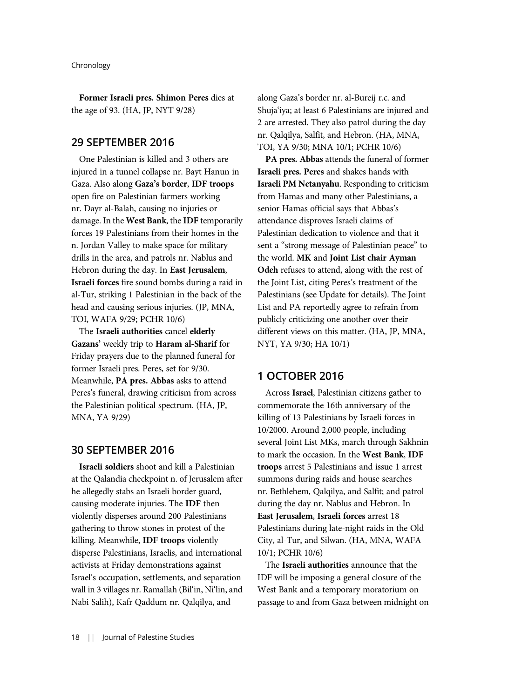Former Israeli pres. Shimon Peres dies at the age of 93. (HA, JP, NYT 9/28)

### 29 SEPTEMBER 2016

One Palestinian is killed and 3 others are injured in a tunnel collapse nr. Bayt Hanun in Gaza. Also along Gaza's border, IDF troops open fire on Palestinian farmers working nr. Dayr al-Balah, causing no injuries or damage. In the West Bank, the IDF temporarily forces 19 Palestinians from their homes in the n. Jordan Valley to make space for military drills in the area, and patrols nr. Nablus and Hebron during the day. In East Jerusalem, Israeli forces fire sound bombs during a raid in al-Tur, striking 1 Palestinian in the back of the head and causing serious injuries. (JP, MNA, TOI, WAFA 9/29; PCHR 10/6)

The Israeli authorities cancel elderly Gazans' weekly trip to Haram al-Sharif for Friday prayers due to the planned funeral for former Israeli pres. Peres, set for 9/30. Meanwhile, PA pres. Abbas asks to attend Peres's funeral, drawing criticism from across the Palestinian political spectrum. (HA, JP, MNA, YA 9/29)

# 30 SEPTEMBER 2016

Israeli soldiers shoot and kill a Palestinian at the Qalandia checkpoint n. of Jerusalem after he allegedly stabs an Israeli border guard, causing moderate injuries. The IDF then violently disperses around 200 Palestinians gathering to throw stones in protest of the killing. Meanwhile, IDF troops violently disperse Palestinians, Israelis, and international activists at Friday demonstrations against Israel's occupation, settlements, and separation wall in 3 villages nr. Ramallah (Bil'in, Ni'lin, and Nabi Salih), Kafr Qaddum nr. Qalqilya, and

along Gaza's border nr. al-Bureij r.c. and Shuja'iya; at least 6 Palestinians are injured and 2 are arrested. They also patrol during the day nr. Qalqilya, Salfit, and Hebron. (HA, MNA, TOI, YA 9/30; MNA 10/1; PCHR 10/6)

PA pres. Abbas attends the funeral of former Israeli pres. Peres and shakes hands with Israeli PM Netanyahu. Responding to criticism from Hamas and many other Palestinians, a senior Hamas official says that Abbas's attendance disproves Israeli claims of Palestinian dedication to violence and that it sent a "strong message of Palestinian peace" to the world. MK and Joint List chair Ayman Odeh refuses to attend, along with the rest of the Joint List, citing Peres's treatment of the Palestinians (see Update for details). The Joint List and PA reportedly agree to refrain from publicly criticizing one another over their different views on this matter. (HA, JP, MNA, NYT, YA 9/30; HA 10/1)

### 1 OCTOBER 2016

Across Israel, Palestinian citizens gather to commemorate the 16th anniversary of the killing of 13 Palestinians by Israeli forces in 10/2000. Around 2,000 people, including several Joint List MKs, march through Sakhnin to mark the occasion. In the West Bank, IDF troops arrest 5 Palestinians and issue 1 arrest summons during raids and house searches nr. Bethlehem, Qalqilya, and Salfit; and patrol during the day nr. Nablus and Hebron. In East Jerusalem, Israeli forces arrest 18 Palestinians during late-night raids in the Old City, al-Tur, and Silwan. (HA, MNA, WAFA 10/1; PCHR 10/6)

The Israeli authorities announce that the IDF will be imposing a general closure of the West Bank and a temporary moratorium on passage to and from Gaza between midnight on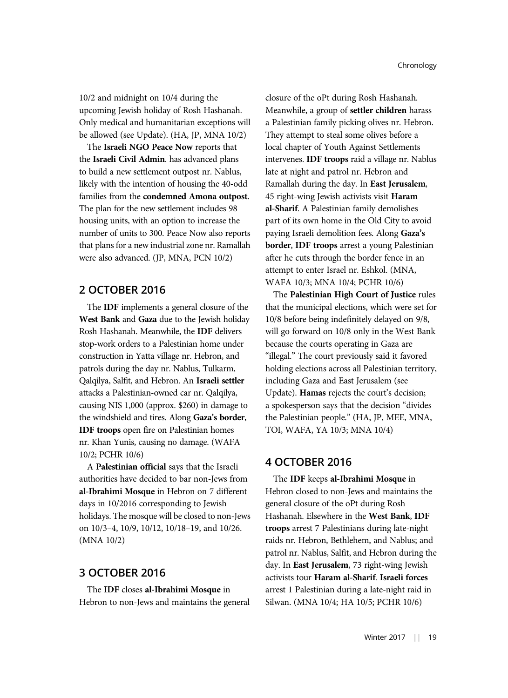10/2 and midnight on 10/4 during the upcoming Jewish holiday of Rosh Hashanah. Only medical and humanitarian exceptions will be allowed (see Update). (HA, JP, MNA 10/2)

The Israeli NGO Peace Now reports that the Israeli Civil Admin. has advanced plans to build a new settlement outpost nr. Nablus, likely with the intention of housing the 40-odd families from the condemned Amona outpost. The plan for the new settlement includes 98 housing units, with an option to increase the number of units to 300. Peace Now also reports that plans for a new industrial zone nr. Ramallah were also advanced. (JP, MNA, PCN 10/2)

# 2 OCTOBER 2016

The IDF implements a general closure of the West Bank and Gaza due to the Jewish holiday Rosh Hashanah. Meanwhile, the IDF delivers stop-work orders to a Palestinian home under construction in Yatta village nr. Hebron, and patrols during the day nr. Nablus, Tulkarm, Qalqilya, Salfit, and Hebron. An Israeli settler attacks a Palestinian-owned car nr. Qalqilya, causing NIS 1,000 (approx. \$260) in damage to the windshield and tires. Along Gaza's border, IDF troops open fire on Palestinian homes nr. Khan Yunis, causing no damage. (WAFA 10/2; PCHR 10/6)

A Palestinian official says that the Israeli authorities have decided to bar non-Jews from al-Ibrahimi Mosque in Hebron on 7 different days in 10/2016 corresponding to Jewish holidays. The mosque will be closed to non-Jews on 10/3–4, 10/9, 10/12, 10/18–19, and 10/26. (MNA 10/2)

# 3 OCTOBER 2016

The IDF closes al-Ibrahimi Mosque in Hebron to non-Jews and maintains the general closure of the oPt during Rosh Hashanah. Meanwhile, a group of settler children harass a Palestinian family picking olives nr. Hebron. They attempt to steal some olives before a local chapter of Youth Against Settlements intervenes. IDF troops raid a village nr. Nablus late at night and patrol nr. Hebron and Ramallah during the day. In East Jerusalem, 45 right-wing Jewish activists visit Haram al-Sharif. A Palestinian family demolishes part of its own home in the Old City to avoid paying Israeli demolition fees. Along Gaza's border, IDF troops arrest a young Palestinian after he cuts through the border fence in an attempt to enter Israel nr. Eshkol. (MNA, WAFA 10/3; MNA 10/4; PCHR 10/6)

The Palestinian High Court of Justice rules that the municipal elections, which were set for 10/8 before being indefinitely delayed on 9/8, will go forward on 10/8 only in the West Bank because the courts operating in Gaza are "illegal." The court previously said it favored holding elections across all Palestinian territory, including Gaza and East Jerusalem (see Update). Hamas rejects the court's decision; a spokesperson says that the decision "divides the Palestinian people." (HA, JP, MEE, MNA, TOI, WAFA, YA 10/3; MNA 10/4)

### 4 OCTOBER 2016

The IDF keeps al-Ibrahimi Mosque in Hebron closed to non-Jews and maintains the general closure of the oPt during Rosh Hashanah. Elsewhere in the West Bank, IDF troops arrest 7 Palestinians during late-night raids nr. Hebron, Bethlehem, and Nablus; and patrol nr. Nablus, Salfit, and Hebron during the day. In East Jerusalem, 73 right-wing Jewish activists tour Haram al-Sharif. Israeli forces arrest 1 Palestinian during a late-night raid in Silwan. (MNA 10/4; HA 10/5; PCHR 10/6)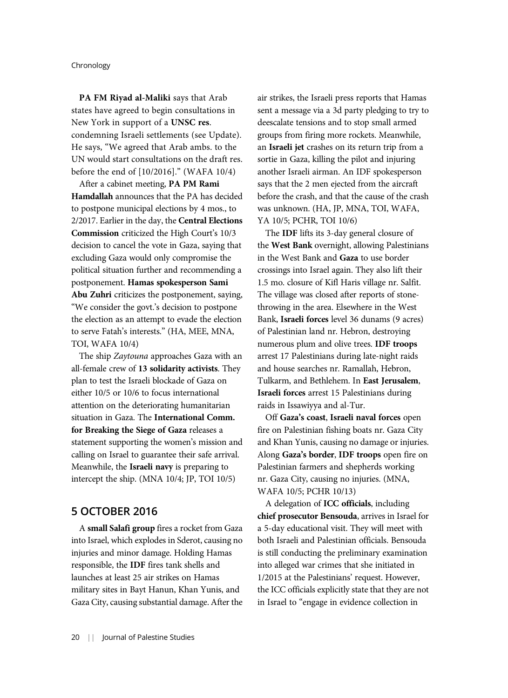PA FM Riyad al-Maliki says that Arab states have agreed to begin consultations in New York in support of a UNSC res. condemning Israeli settlements (see Update). He says, "We agreed that Arab ambs. to the UN would start consultations on the draft res. before the end of [10/2016]." (WAFA 10/4)

After a cabinet meeting, PA PM Rami Hamdallah announces that the PA has decided to postpone municipal elections by 4 mos., to 2/2017. Earlier in the day, the Central Elections Commission criticized the High Court's 10/3 decision to cancel the vote in Gaza, saying that excluding Gaza would only compromise the political situation further and recommending a postponement. Hamas spokesperson Sami Abu Zuhri criticizes the postponement, saying, "We consider the govt.'s decision to postpone the election as an attempt to evade the election to serve Fatah's interests." (HA, MEE, MNA, TOI, WAFA 10/4)

The ship Zaytouna approaches Gaza with an all-female crew of 13 solidarity activists. They plan to test the Israeli blockade of Gaza on either 10/5 or 10/6 to focus international attention on the deteriorating humanitarian situation in Gaza. The International Comm. for Breaking the Siege of Gaza releases a statement supporting the women's mission and calling on Israel to guarantee their safe arrival. Meanwhile, the Israeli navy is preparing to intercept the ship. (MNA 10/4; JP, TOI 10/5)

### 5 OCTOBER 2016

A small Salafi group fires a rocket from Gaza into Israel, which explodes in Sderot, causing no injuries and minor damage. Holding Hamas responsible, the IDF fires tank shells and launches at least 25 air strikes on Hamas military sites in Bayt Hanun, Khan Yunis, and Gaza City, causing substantial damage. After the air strikes, the Israeli press reports that Hamas sent a message via a 3d party pledging to try to deescalate tensions and to stop small armed groups from firing more rockets. Meanwhile, an Israeli jet crashes on its return trip from a sortie in Gaza, killing the pilot and injuring another Israeli airman. An IDF spokesperson says that the 2 men ejected from the aircraft before the crash, and that the cause of the crash was unknown. (HA, JP, MNA, TOI, WAFA, YA 10/5; PCHR, TOI 10/6)

The IDF lifts its 3-day general closure of the West Bank overnight, allowing Palestinians in the West Bank and Gaza to use border crossings into Israel again. They also lift their 1.5 mo. closure of Kifl Haris village nr. Salfit. The village was closed after reports of stonethrowing in the area. Elsewhere in the West Bank, Israeli forces level 36 dunams (9 acres) of Palestinian land nr. Hebron, destroying numerous plum and olive trees. IDF troops arrest 17 Palestinians during late-night raids and house searches nr. Ramallah, Hebron, Tulkarm, and Bethlehem. In East Jerusalem, Israeli forces arrest 15 Palestinians during raids in Issawiyya and al-Tur.

Off Gaza's coast, Israeli naval forces open fire on Palestinian fishing boats nr. Gaza City and Khan Yunis, causing no damage or injuries. Along Gaza's border, IDF troops open fire on Palestinian farmers and shepherds working nr. Gaza City, causing no injuries. (MNA, WAFA 10/5; PCHR 10/13)

A delegation of ICC officials, including chief prosecutor Bensouda, arrives in Israel for a 5-day educational visit. They will meet with both Israeli and Palestinian officials. Bensouda is still conducting the preliminary examination into alleged war crimes that she initiated in 1/2015 at the Palestinians' request. However, the ICC officials explicitly state that they are not in Israel to "engage in evidence collection in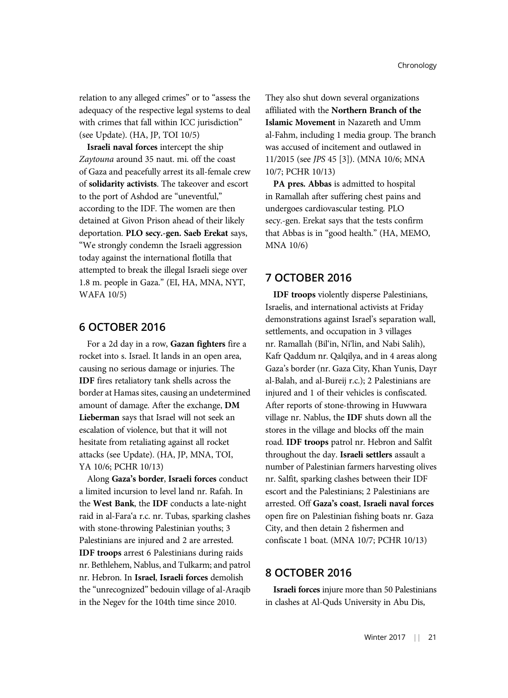relation to any alleged crimes" or to "assess the adequacy of the respective legal systems to deal with crimes that fall within ICC jurisdiction" (see Update). (HA, JP, TOI 10/5)

Israeli naval forces intercept the ship Zaytouna around 35 naut. mi. off the coast of Gaza and peacefully arrest its all-female crew of solidarity activists. The takeover and escort to the port of Ashdod are "uneventful," according to the IDF. The women are then detained at Givon Prison ahead of their likely deportation. PLO secy.-gen. Saeb Erekat says, "We strongly condemn the Israeli aggression today against the international flotilla that attempted to break the illegal Israeli siege over 1.8 m. people in Gaza." (EI, HA, MNA, NYT, WAFA 10/5)

# 6 OCTOBER 2016

For a 2d day in a row, Gazan fighters fire a rocket into s. Israel. It lands in an open area, causing no serious damage or injuries. The IDF fires retaliatory tank shells across the border at Hamas sites, causing an undetermined amount of damage. After the exchange, DM Lieberman says that Israel will not seek an escalation of violence, but that it will not hesitate from retaliating against all rocket attacks (see Update). (HA, JP, MNA, TOI, YA 10/6; PCHR 10/13)

Along Gaza's border, Israeli forces conduct a limited incursion to level land nr. Rafah. In the West Bank, the IDF conducts a late-night raid in al-Fara'a r.c. nr. Tubas, sparking clashes with stone-throwing Palestinian youths; 3 Palestinians are injured and 2 are arrested. IDF troops arrest 6 Palestinians during raids nr. Bethlehem, Nablus, and Tulkarm; and patrol nr. Hebron. In Israel, Israeli forces demolish the "unrecognized" bedouin village of al-Araqib in the Negev for the 104th time since 2010.

They also shut down several organizations affiliated with the Northern Branch of the Islamic Movement in Nazareth and Umm al-Fahm, including 1 media group. The branch was accused of incitement and outlawed in 11/2015 (see JPS 45 [3]). (MNA 10/6; MNA 10/7; PCHR 10/13)

PA pres. Abbas is admitted to hospital in Ramallah after suffering chest pains and undergoes cardiovascular testing. PLO secy.-gen. Erekat says that the tests confirm that Abbas is in "good health." (HA, MEMO, MNA 10/6)

# 7 OCTOBER 2016

IDF troops violently disperse Palestinians, Israelis, and international activists at Friday demonstrations against Israel's separation wall, settlements, and occupation in 3 villages nr. Ramallah (Bil'in, Ni'lin, and Nabi Salih), Kafr Qaddum nr. Qalqilya, and in 4 areas along Gaza's border (nr. Gaza City, Khan Yunis, Dayr al-Balah, and al-Bureij r.c.); 2 Palestinians are injured and 1 of their vehicles is confiscated. After reports of stone-throwing in Huwwara village nr. Nablus, the IDF shuts down all the stores in the village and blocks off the main road. IDF troops patrol nr. Hebron and Salfit throughout the day. Israeli settlers assault a number of Palestinian farmers harvesting olives nr. Salfit, sparking clashes between their IDF escort and the Palestinians; 2 Palestinians are arrested. Off Gaza's coast, Israeli naval forces open fire on Palestinian fishing boats nr. Gaza City, and then detain 2 fishermen and confiscate 1 boat. (MNA 10/7; PCHR 10/13)

# 8 OCTOBER 2016

Israeli forces injure more than 50 Palestinians in clashes at Al-Quds University in Abu Dis,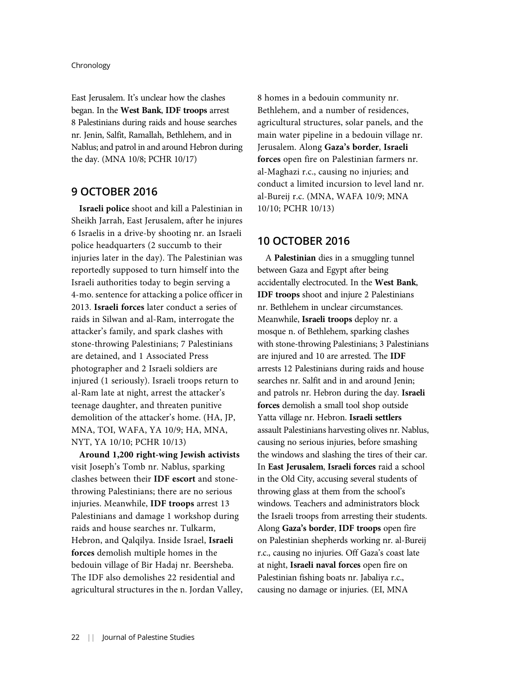East Jerusalem. It's unclear how the clashes began. In the West Bank, IDF troops arrest 8 Palestinians during raids and house searches nr. Jenin, Salfit, Ramallah, Bethlehem, and in Nablus; and patrol in and around Hebron during the day. (MNA 10/8; PCHR 10/17)

# 9 OCTOBER 2016

Israeli police shoot and kill a Palestinian in Sheikh Jarrah, East Jerusalem, after he injures 6 Israelis in a drive-by shooting nr. an Israeli police headquarters (2 succumb to their injuries later in the day). The Palestinian was reportedly supposed to turn himself into the Israeli authorities today to begin serving a 4-mo. sentence for attacking a police officer in 2013. Israeli forces later conduct a series of raids in Silwan and al-Ram, interrogate the attacker's family, and spark clashes with stone-throwing Palestinians; 7 Palestinians are detained, and 1 Associated Press photographer and 2 Israeli soldiers are injured (1 seriously). Israeli troops return to al-Ram late at night, arrest the attacker's teenage daughter, and threaten punitive demolition of the attacker's home. (HA, JP, MNA, TOI, WAFA, YA 10/9; HA, MNA, NYT, YA 10/10; PCHR 10/13)

Around 1,200 right-wing Jewish activists visit Joseph's Tomb nr. Nablus, sparking clashes between their IDF escort and stonethrowing Palestinians; there are no serious injuries. Meanwhile, IDF troops arrest 13 Palestinians and damage 1 workshop during raids and house searches nr. Tulkarm, Hebron, and Qalqilya. Inside Israel, Israeli forces demolish multiple homes in the bedouin village of Bir Hadaj nr. Beersheba. The IDF also demolishes 22 residential and agricultural structures in the n. Jordan Valley, 8 homes in a bedouin community nr. Bethlehem, and a number of residences, agricultural structures, solar panels, and the main water pipeline in a bedouin village nr. Jerusalem. Along Gaza's border, Israeli forces open fire on Palestinian farmers nr. al-Maghazi r.c., causing no injuries; and conduct a limited incursion to level land nr. al-Bureij r.c. (MNA, WAFA 10/9; MNA 10/10; PCHR 10/13)

### 10 OCTOBER 2016

A Palestinian dies in a smuggling tunnel between Gaza and Egypt after being accidentally electrocuted. In the West Bank, IDF troops shoot and injure 2 Palestinians nr. Bethlehem in unclear circumstances. Meanwhile, Israeli troops deploy nr. a mosque n. of Bethlehem, sparking clashes with stone-throwing Palestinians; 3 Palestinians are injured and 10 are arrested. The IDF arrests 12 Palestinians during raids and house searches nr. Salfit and in and around Jenin; and patrols nr. Hebron during the day. Israeli forces demolish a small tool shop outside Yatta village nr. Hebron. Israeli settlers assault Palestinians harvesting olives nr. Nablus, causing no serious injuries, before smashing the windows and slashing the tires of their car. In East Jerusalem, Israeli forces raid a school in the Old City, accusing several students of throwing glass at them from the school's windows. Teachers and administrators block the Israeli troops from arresting their students. Along Gaza's border, IDF troops open fire on Palestinian shepherds working nr. al-Bureij r.c., causing no injuries. Off Gaza's coast late at night, Israeli naval forces open fire on Palestinian fishing boats nr. Jabaliya r.c., causing no damage or injuries. (EI, MNA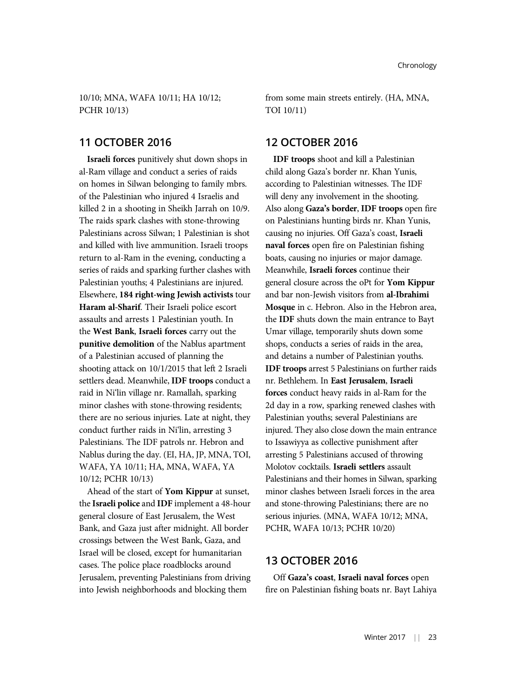10/10; MNA, WAFA 10/11; HA 10/12; PCHR 10/13)

### 11 OCTOBER 2016

Israeli forces punitively shut down shops in al-Ram village and conduct a series of raids on homes in Silwan belonging to family mbrs. of the Palestinian who injured 4 Israelis and killed 2 in a shooting in Sheikh Jarrah on 10/9. The raids spark clashes with stone-throwing Palestinians across Silwan; 1 Palestinian is shot and killed with live ammunition. Israeli troops return to al-Ram in the evening, conducting a series of raids and sparking further clashes with Palestinian youths; 4 Palestinians are injured. Elsewhere, 184 right-wing Jewish activists tour Haram al-Sharif. Their Israeli police escort assaults and arrests 1 Palestinian youth. In the West Bank, Israeli forces carry out the punitive demolition of the Nablus apartment of a Palestinian accused of planning the shooting attack on 10/1/2015 that left 2 Israeli settlers dead. Meanwhile, IDF troops conduct a raid in Ni'lin village nr. Ramallah, sparking minor clashes with stone-throwing residents; there are no serious injuries. Late at night, they conduct further raids in Ni'lin, arresting 3 Palestinians. The IDF patrols nr. Hebron and Nablus during the day. (EI, HA, JP, MNA, TOI, WAFA, YA 10/11; HA, MNA, WAFA, YA 10/12; PCHR 10/13)

Ahead of the start of Yom Kippur at sunset, the Israeli police and IDF implement a 48-hour general closure of East Jerusalem, the West Bank, and Gaza just after midnight. All border crossings between the West Bank, Gaza, and Israel will be closed, except for humanitarian cases. The police place roadblocks around Jerusalem, preventing Palestinians from driving into Jewish neighborhoods and blocking them

from some main streets entirely. (HA, MNA, TOI 10/11)

### 12 OCTOBER 2016

IDF troops shoot and kill a Palestinian child along Gaza's border nr. Khan Yunis, according to Palestinian witnesses. The IDF will deny any involvement in the shooting. Also along Gaza's border, IDF troops open fire on Palestinians hunting birds nr. Khan Yunis, causing no injuries. Off Gaza's coast, Israeli naval forces open fire on Palestinian fishing boats, causing no injuries or major damage. Meanwhile, Israeli forces continue their general closure across the oPt for Yom Kippur and bar non-Jewish visitors from al-Ibrahimi Mosque in c. Hebron. Also in the Hebron area, the IDF shuts down the main entrance to Bayt Umar village, temporarily shuts down some shops, conducts a series of raids in the area, and detains a number of Palestinian youths. IDF troops arrest 5 Palestinians on further raids nr. Bethlehem. In East Jerusalem, Israeli forces conduct heavy raids in al-Ram for the 2d day in a row, sparking renewed clashes with Palestinian youths; several Palestinians are injured. They also close down the main entrance to Issawiyya as collective punishment after arresting 5 Palestinians accused of throwing Molotov cocktails. Israeli settlers assault Palestinians and their homes in Silwan, sparking minor clashes between Israeli forces in the area and stone-throwing Palestinians; there are no serious injuries. (MNA, WAFA 10/12; MNA, PCHR, WAFA 10/13; PCHR 10/20)

### 13 OCTOBER 2016

Off Gaza's coast, Israeli naval forces open fire on Palestinian fishing boats nr. Bayt Lahiya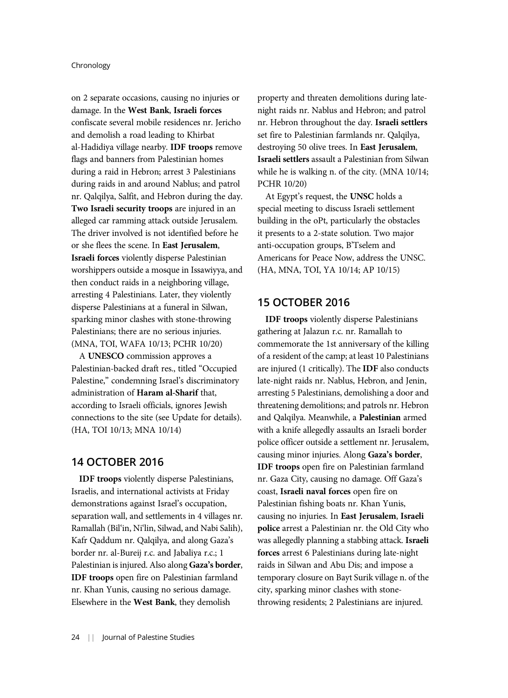on 2 separate occasions, causing no injuries or damage. In the West Bank, Israeli forces confiscate several mobile residences nr. Jericho and demolish a road leading to Khirbat al-Hadidiya village nearby. IDF troops remove flags and banners from Palestinian homes during a raid in Hebron; arrest 3 Palestinians during raids in and around Nablus; and patrol nr. Qalqilya, Salfit, and Hebron during the day. Two Israeli security troops are injured in an alleged car ramming attack outside Jerusalem. The driver involved is not identified before he or she flees the scene. In East Jerusalem, Israeli forces violently disperse Palestinian worshippers outside a mosque in Issawiyya, and then conduct raids in a neighboring village, arresting 4 Palestinians. Later, they violently disperse Palestinians at a funeral in Silwan, sparking minor clashes with stone-throwing Palestinians; there are no serious injuries. (MNA, TOI, WAFA 10/13; PCHR 10/20)

A UNESCO commission approves a Palestinian-backed draft res., titled "Occupied Palestine," condemning Israel's discriminatory administration of Haram al-Sharif that, according to Israeli officials, ignores Jewish connections to the site (see Update for details). (HA, TOI 10/13; MNA 10/14)

# 14 OCTOBER 2016

IDF troops violently disperse Palestinians, Israelis, and international activists at Friday demonstrations against Israel's occupation, separation wall, and settlements in 4 villages nr. Ramallah (Bil'in, Ni'lin, Silwad, and Nabi Salih), Kafr Qaddum nr. Qalqilya, and along Gaza's border nr. al-Bureij r.c. and Jabaliya r.c.; 1 Palestinian is injured. Also along Gaza's border, IDF troops open fire on Palestinian farmland nr. Khan Yunis, causing no serious damage. Elsewhere in the West Bank, they demolish

property and threaten demolitions during latenight raids nr. Nablus and Hebron; and patrol nr. Hebron throughout the day. Israeli settlers set fire to Palestinian farmlands nr. Qalqilya, destroying 50 olive trees. In East Jerusalem, Israeli settlers assault a Palestinian from Silwan while he is walking n. of the city. (MNA 10/14; PCHR 10/20)

At Egypt's request, the UNSC holds a special meeting to discuss Israeli settlement building in the oPt, particularly the obstacles it presents to a 2-state solution. Two major anti-occupation groups, B'Tselem and Americans for Peace Now, address the UNSC. (HA, MNA, TOI, YA 10/14; AP 10/15)

### 15 OCTOBER 2016

IDF troops violently disperse Palestinians gathering at Jalazun r.c. nr. Ramallah to commemorate the 1st anniversary of the killing of a resident of the camp; at least 10 Palestinians are injured (1 critically). The IDF also conducts late-night raids nr. Nablus, Hebron, and Jenin, arresting 5 Palestinians, demolishing a door and threatening demolitions; and patrols nr. Hebron and Qalqilya. Meanwhile, a Palestinian armed with a knife allegedly assaults an Israeli border police officer outside a settlement nr. Jerusalem, causing minor injuries. Along Gaza's border, IDF troops open fire on Palestinian farmland nr. Gaza City, causing no damage. Off Gaza's coast, Israeli naval forces open fire on Palestinian fishing boats nr. Khan Yunis, causing no injuries. In East Jerusalem, Israeli police arrest a Palestinian nr. the Old City who was allegedly planning a stabbing attack. Israeli forces arrest 6 Palestinians during late-night raids in Silwan and Abu Dis; and impose a temporary closure on Bayt Surik village n. of the city, sparking minor clashes with stonethrowing residents; 2 Palestinians are injured.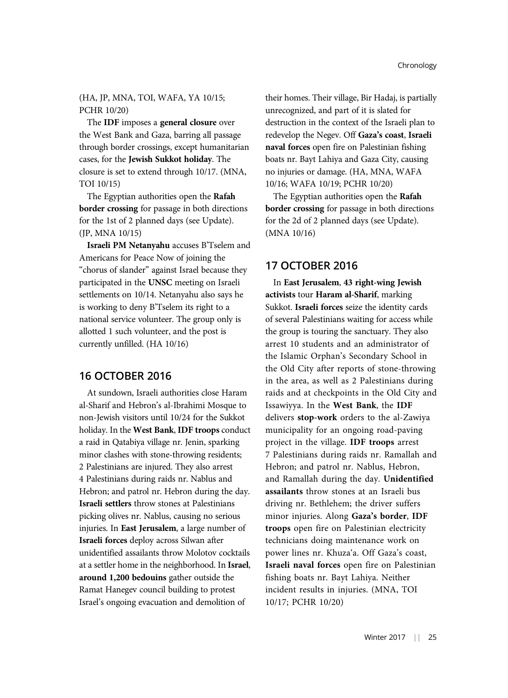### (HA, JP, MNA, TOI, WAFA, YA 10/15; PCHR 10/20)

The IDF imposes a general closure over the West Bank and Gaza, barring all passage through border crossings, except humanitarian cases, for the Jewish Sukkot holiday. The closure is set to extend through 10/17. (MNA, TOI 10/15)

The Egyptian authorities open the Rafah border crossing for passage in both directions for the 1st of 2 planned days (see Update). (JP, MNA 10/15)

Israeli PM Netanyahu accuses B'Tselem and Americans for Peace Now of joining the "chorus of slander" against Israel because they participated in the UNSC meeting on Israeli settlements on 10/14. Netanyahu also says he is working to deny B'Tselem its right to a national service volunteer. The group only is allotted 1 such volunteer, and the post is currently unfilled. (HA 10/16)

# 16 OCTOBER 2016

At sundown, Israeli authorities close Haram al-Sharif and Hebron's al-Ibrahimi Mosque to non-Jewish visitors until 10/24 for the Sukkot holiday. In the West Bank, IDF troops conduct a raid in Qatabiya village nr. Jenin, sparking minor clashes with stone-throwing residents; 2 Palestinians are injured. They also arrest 4 Palestinians during raids nr. Nablus and Hebron; and patrol nr. Hebron during the day. Israeli settlers throw stones at Palestinians picking olives nr. Nablus, causing no serious injuries. In East Jerusalem, a large number of Israeli forces deploy across Silwan after unidentified assailants throw Molotov cocktails at a settler home in the neighborhood. In Israel, around 1,200 bedouins gather outside the Ramat Hanegev council building to protest Israel's ongoing evacuation and demolition of

their homes. Their village, Bir Hadaj, is partially unrecognized, and part of it is slated for destruction in the context of the Israeli plan to redevelop the Negev. Off Gaza's coast, Israeli naval forces open fire on Palestinian fishing boats nr. Bayt Lahiya and Gaza City, causing no injuries or damage. (HA, MNA, WAFA 10/16; WAFA 10/19; PCHR 10/20)

The Egyptian authorities open the Rafah border crossing for passage in both directions for the 2d of 2 planned days (see Update). (MNA 10/16)

# 17 OCTOBER 2016

In East Jerusalem, 43 right-wing Jewish activists tour Haram al-Sharif, marking Sukkot. Israeli forces seize the identity cards of several Palestinians waiting for access while the group is touring the sanctuary. They also arrest 10 students and an administrator of the Islamic Orphan's Secondary School in the Old City after reports of stone-throwing in the area, as well as 2 Palestinians during raids and at checkpoints in the Old City and Issawiyya. In the West Bank, the IDF delivers stop-work orders to the al-Zawiya municipality for an ongoing road-paving project in the village. IDF troops arrest 7 Palestinians during raids nr. Ramallah and Hebron; and patrol nr. Nablus, Hebron, and Ramallah during the day. Unidentified assailants throw stones at an Israeli bus driving nr. Bethlehem; the driver suffers minor injuries. Along Gaza's border, IDF troops open fire on Palestinian electricity technicians doing maintenance work on power lines nr. Khuza'a. Off Gaza's coast, Israeli naval forces open fire on Palestinian fishing boats nr. Bayt Lahiya. Neither incident results in injuries. (MNA, TOI 10/17; PCHR 10/20)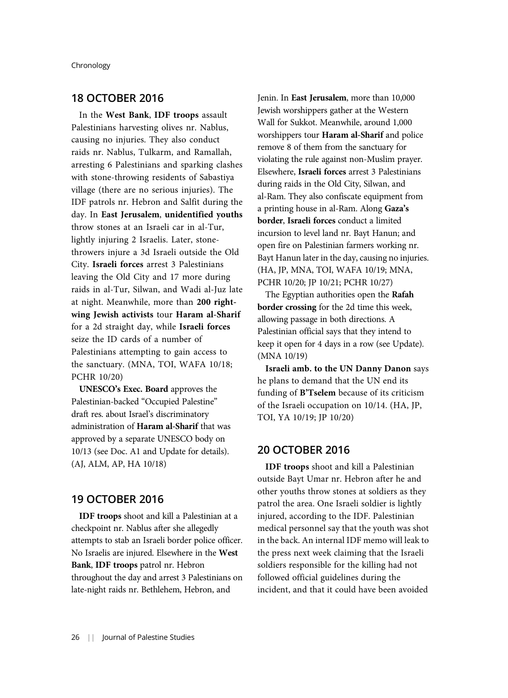# 18 OCTOBER 2016

In the West Bank, IDF troops assault Palestinians harvesting olives nr. Nablus, causing no injuries. They also conduct raids nr. Nablus, Tulkarm, and Ramallah, arresting 6 Palestinians and sparking clashes with stone-throwing residents of Sabastiya village (there are no serious injuries). The IDF patrols nr. Hebron and Salfit during the day. In East Jerusalem, unidentified youths throw stones at an Israeli car in al-Tur, lightly injuring 2 Israelis. Later, stonethrowers injure a 3d Israeli outside the Old City. Israeli forces arrest 3 Palestinians leaving the Old City and 17 more during raids in al-Tur, Silwan, and Wadi al-Juz late at night. Meanwhile, more than 200 rightwing Jewish activists tour Haram al-Sharif for a 2d straight day, while Israeli forces seize the ID cards of a number of Palestinians attempting to gain access to the sanctuary. (MNA, TOI, WAFA 10/18; PCHR 10/20)

UNESCO's Exec. Board approves the Palestinian-backed "Occupied Palestine" draft res. about Israel's discriminatory administration of Haram al-Sharif that was approved by a separate UNESCO body on 10/13 (see Doc. A1 and Update for details). (AJ, ALM, AP, HA 10/18)

# 19 OCTOBER 2016

IDF troops shoot and kill a Palestinian at a checkpoint nr. Nablus after she allegedly attempts to stab an Israeli border police officer. No Israelis are injured. Elsewhere in the West Bank, IDF troops patrol nr. Hebron throughout the day and arrest 3 Palestinians on late-night raids nr. Bethlehem, Hebron, and

Jenin. In East Jerusalem, more than 10,000 Jewish worshippers gather at the Western Wall for Sukkot. Meanwhile, around 1,000 worshippers tour Haram al-Sharif and police remove 8 of them from the sanctuary for violating the rule against non-Muslim prayer. Elsewhere, Israeli forces arrest 3 Palestinians during raids in the Old City, Silwan, and al-Ram. They also confiscate equipment from a printing house in al-Ram. Along Gaza's border, Israeli forces conduct a limited incursion to level land nr. Bayt Hanun; and open fire on Palestinian farmers working nr. Bayt Hanun later in the day, causing no injuries. (HA, JP, MNA, TOI, WAFA 10/19; MNA, PCHR 10/20; JP 10/21; PCHR 10/27)

The Egyptian authorities open the Rafah border crossing for the 2d time this week, allowing passage in both directions. A Palestinian official says that they intend to keep it open for 4 days in a row (see Update). (MNA 10/19)

Israeli amb. to the UN Danny Danon says he plans to demand that the UN end its funding of B'Tselem because of its criticism of the Israeli occupation on 10/14. (HA, JP, TOI, YA 10/19; JP 10/20)

# 20 OCTOBER 2016

IDF troops shoot and kill a Palestinian outside Bayt Umar nr. Hebron after he and other youths throw stones at soldiers as they patrol the area. One Israeli soldier is lightly injured, according to the IDF. Palestinian medical personnel say that the youth was shot in the back. An internal IDF memo will leak to the press next week claiming that the Israeli soldiers responsible for the killing had not followed official guidelines during the incident, and that it could have been avoided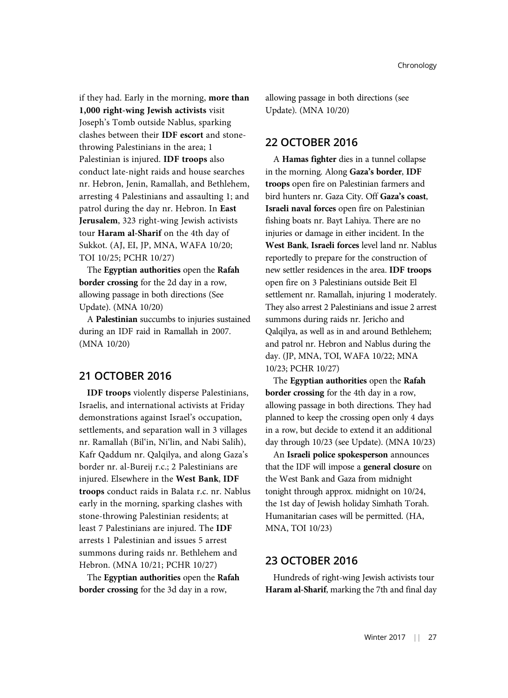if they had. Early in the morning, more than 1,000 right-wing Jewish activists visit Joseph's Tomb outside Nablus, sparking clashes between their IDF escort and stonethrowing Palestinians in the area; 1 Palestinian is injured. IDF troops also conduct late-night raids and house searches nr. Hebron, Jenin, Ramallah, and Bethlehem, arresting 4 Palestinians and assaulting 1; and patrol during the day nr. Hebron. In East Jerusalem, 323 right-wing Jewish activists tour Haram al-Sharif on the 4th day of Sukkot. (AJ, EI, JP, MNA, WAFA 10/20; TOI 10/25; PCHR 10/27)

The Egyptian authorities open the Rafah border crossing for the 2d day in a row, allowing passage in both directions (See Update). (MNA 10/20)

A Palestinian succumbs to injuries sustained during an IDF raid in Ramallah in 2007. (MNA 10/20)

# 21 OCTOBER 2016

IDF troops violently disperse Palestinians, Israelis, and international activists at Friday demonstrations against Israel's occupation, settlements, and separation wall in 3 villages nr. Ramallah (Bil'in, Ni'lin, and Nabi Salih), Kafr Qaddum nr. Qalqilya, and along Gaza's border nr. al-Bureij r.c.; 2 Palestinians are injured. Elsewhere in the West Bank, IDF troops conduct raids in Balata r.c. nr. Nablus early in the morning, sparking clashes with stone-throwing Palestinian residents; at least 7 Palestinians are injured. The IDF arrests 1 Palestinian and issues 5 arrest summons during raids nr. Bethlehem and Hebron. (MNA 10/21; PCHR 10/27)

The Egyptian authorities open the Rafah border crossing for the 3d day in a row,

allowing passage in both directions (see Update). (MNA 10/20)

# 22 OCTOBER 2016

A Hamas fighter dies in a tunnel collapse in the morning. Along Gaza's border, IDF troops open fire on Palestinian farmers and bird hunters nr. Gaza City. Off Gaza's coast, Israeli naval forces open fire on Palestinian fishing boats nr. Bayt Lahiya. There are no injuries or damage in either incident. In the West Bank, Israeli forces level land nr. Nablus reportedly to prepare for the construction of new settler residences in the area. IDF troops open fire on 3 Palestinians outside Beit El settlement nr. Ramallah, injuring 1 moderately. They also arrest 2 Palestinians and issue 2 arrest summons during raids nr. Jericho and Qalqilya, as well as in and around Bethlehem; and patrol nr. Hebron and Nablus during the day. (JP, MNA, TOI, WAFA 10/22; MNA 10/23; PCHR 10/27)

The Egyptian authorities open the Rafah border crossing for the 4th day in a row, allowing passage in both directions. They had planned to keep the crossing open only 4 days in a row, but decide to extend it an additional day through 10/23 (see Update). (MNA 10/23)

An Israeli police spokesperson announces that the IDF will impose a general closure on the West Bank and Gaza from midnight tonight through approx. midnight on 10/24, the 1st day of Jewish holiday Simhath Torah. Humanitarian cases will be permitted. (HA, MNA, TOI 10/23)

# 23 OCTOBER 2016

Hundreds of right-wing Jewish activists tour Haram al-Sharif, marking the 7th and final day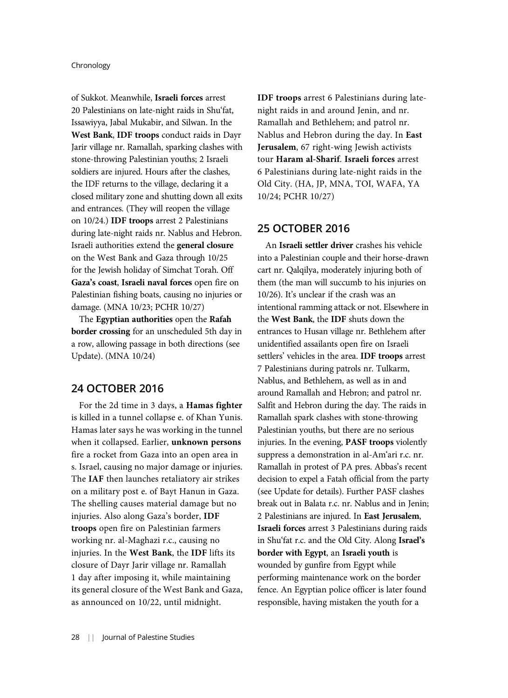of Sukkot. Meanwhile, Israeli forces arrest 20 Palestinians on late-night raids in Shu'fat, Issawiyya, Jabal Mukabir, and Silwan. In the West Bank, IDF troops conduct raids in Dayr Jarir village nr. Ramallah, sparking clashes with stone-throwing Palestinian youths; 2 Israeli soldiers are injured. Hours after the clashes, the IDF returns to the village, declaring it a closed military zone and shutting down all exits and entrances. (They will reopen the village on 10/24.) IDF troops arrest 2 Palestinians during late-night raids nr. Nablus and Hebron. Israeli authorities extend the general closure on the West Bank and Gaza through 10/25 for the Jewish holiday of Simchat Torah. Off Gaza's coast, Israeli naval forces open fire on Palestinian fishing boats, causing no injuries or damage. (MNA 10/23; PCHR 10/27)

The Egyptian authorities open the Rafah border crossing for an unscheduled 5th day in a row, allowing passage in both directions (see Update). (MNA 10/24)

### 24 OCTOBER 2016

For the 2d time in 3 days, a Hamas fighter is killed in a tunnel collapse e. of Khan Yunis. Hamas later says he was working in the tunnel when it collapsed. Earlier, unknown persons fire a rocket from Gaza into an open area in s. Israel, causing no major damage or injuries. The IAF then launches retaliatory air strikes on a military post e. of Bayt Hanun in Gaza. The shelling causes material damage but no injuries. Also along Gaza's border, IDF troops open fire on Palestinian farmers working nr. al-Maghazi r.c., causing no injuries. In the West Bank, the IDF lifts its closure of Dayr Jarir village nr. Ramallah 1 day after imposing it, while maintaining its general closure of the West Bank and Gaza, as announced on 10/22, until midnight.

IDF troops arrest 6 Palestinians during latenight raids in and around Jenin, and nr. Ramallah and Bethlehem; and patrol nr. Nablus and Hebron during the day. In East Jerusalem, 67 right-wing Jewish activists tour Haram al-Sharif. Israeli forces arrest 6 Palestinians during late-night raids in the Old City. (HA, JP, MNA, TOI, WAFA, YA 10/24; PCHR 10/27)

### 25 OCTOBER 2016

An Israeli settler driver crashes his vehicle into a Palestinian couple and their horse-drawn cart nr. Qalqilya, moderately injuring both of them (the man will succumb to his injuries on 10/26). It's unclear if the crash was an intentional ramming attack or not. Elsewhere in the West Bank, the IDF shuts down the entrances to Husan village nr. Bethlehem after unidentified assailants open fire on Israeli settlers' vehicles in the area. IDF troops arrest 7 Palestinians during patrols nr. Tulkarm, Nablus, and Bethlehem, as well as in and around Ramallah and Hebron; and patrol nr. Salfit and Hebron during the day. The raids in Ramallah spark clashes with stone-throwing Palestinian youths, but there are no serious injuries. In the evening, PASF troops violently suppress a demonstration in al-Am'ari r.c. nr. Ramallah in protest of PA pres. Abbas's recent decision to expel a Fatah official from the party (see Update for details). Further PASF clashes break out in Balata r.c. nr. Nablus and in Jenin; 2 Palestinians are injured. In East Jerusalem, Israeli forces arrest 3 Palestinians during raids in Shu'fat r.c. and the Old City. Along Israel's border with Egypt, an Israeli youth is wounded by gunfire from Egypt while performing maintenance work on the border fence. An Egyptian police officer is later found responsible, having mistaken the youth for a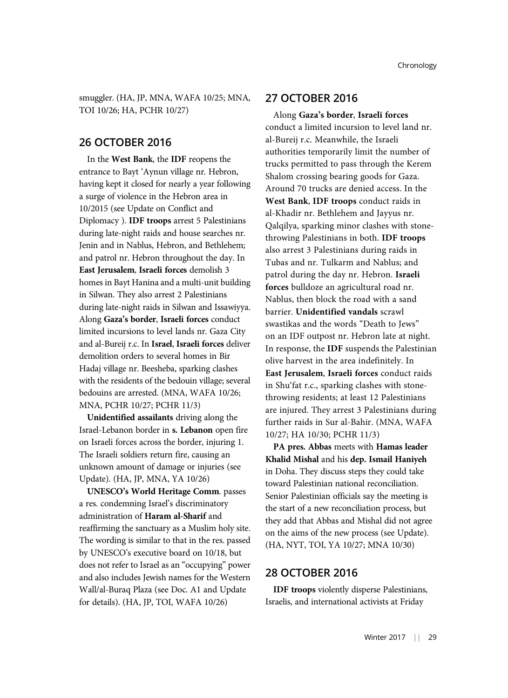smuggler. (HA, JP, MNA, WAFA 10/25; MNA, TOI 10/26; HA, PCHR 10/27)

### 26 OCTOBER 2016

In the West Bank, the IDF reopens the entrance to Bayt 'Aynun village nr. Hebron, having kept it closed for nearly a year following a surge of violence in the Hebron area in 10/2015 (see Update on Conflict and Diplomacy ). IDF troops arrest 5 Palestinians during late-night raids and house searches nr. Jenin and in Nablus, Hebron, and Bethlehem; and patrol nr. Hebron throughout the day. In East Jerusalem, Israeli forces demolish 3 homes in Bayt Hanina and a multi-unit building in Silwan. They also arrest 2 Palestinians during late-night raids in Silwan and Issawiyya. Along Gaza's border, Israeli forces conduct limited incursions to level lands nr. Gaza City and al-Bureij r.c. In Israel, Israeli forces deliver demolition orders to several homes in Bir Hadaj village nr. Beesheba, sparking clashes with the residents of the bedouin village; several bedouins are arrested. (MNA, WAFA 10/26; MNA, PCHR 10/27; PCHR 11/3)

Unidentified assailants driving along the Israel-Lebanon border in s. Lebanon open fire on Israeli forces across the border, injuring 1. The Israeli soldiers return fire, causing an unknown amount of damage or injuries (see Update). (HA, JP, MNA, YA 10/26)

UNESCO's World Heritage Comm. passes a res. condemning Israel's discriminatory administration of Haram al-Sharif and reaffirming the sanctuary as a Muslim holy site. The wording is similar to that in the res. passed by UNESCO's executive board on 10/18, but does not refer to Israel as an "occupying" power and also includes Jewish names for the Western Wall/al-Buraq Plaza (see Doc. A1 and Update for details). (HA, JP, TOI, WAFA 10/26)

# 27 OCTOBER 2016

Along Gaza's border, Israeli forces conduct a limited incursion to level land nr. al-Bureij r.c. Meanwhile, the Israeli authorities temporarily limit the number of trucks permitted to pass through the Kerem Shalom crossing bearing goods for Gaza. Around 70 trucks are denied access. In the West Bank, IDF troops conduct raids in al-Khadir nr. Bethlehem and Jayyus nr. Qalqilya, sparking minor clashes with stonethrowing Palestinians in both. IDF troops also arrest 3 Palestinians during raids in Tubas and nr. Tulkarm and Nablus; and patrol during the day nr. Hebron. Israeli forces bulldoze an agricultural road nr. Nablus, then block the road with a sand barrier. Unidentified vandals scrawl swastikas and the words "Death to Jews" on an IDF outpost nr. Hebron late at night. In response, the IDF suspends the Palestinian olive harvest in the area indefinitely. In East Jerusalem, Israeli forces conduct raids in Shu'fat r.c., sparking clashes with stonethrowing residents; at least 12 Palestinians are injured. They arrest 3 Palestinians during further raids in Sur al-Bahir. (MNA, WAFA 10/27; HA 10/30; PCHR 11/3)

PA pres. Abbas meets with Hamas leader Khalid Mishal and his dep. Ismail Haniyeh in Doha. They discuss steps they could take toward Palestinian national reconciliation. Senior Palestinian officials say the meeting is the start of a new reconciliation process, but they add that Abbas and Mishal did not agree on the aims of the new process (see Update). (HA, NYT, TOI, YA 10/27; MNA 10/30)

### 28 OCTOBER 2016

IDF troops violently disperse Palestinians, Israelis, and international activists at Friday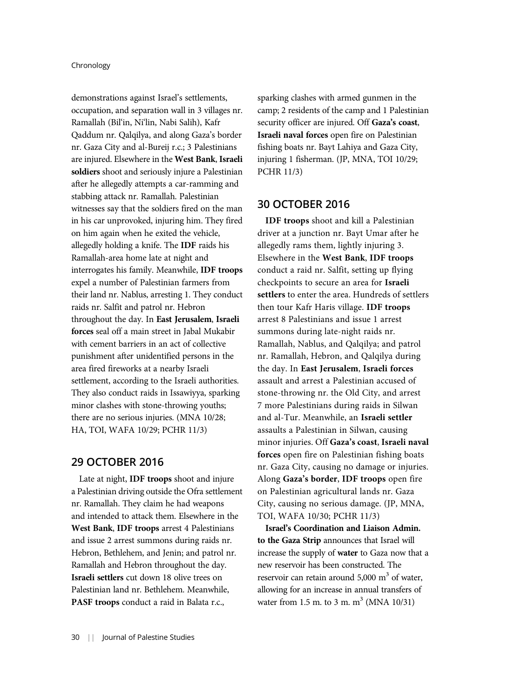demonstrations against Israel's settlements, occupation, and separation wall in 3 villages nr. Ramallah (Bil'in, Ni'lin, Nabi Salih), Kafr Qaddum nr. Qalqilya, and along Gaza's border nr. Gaza City and al-Bureij r.c.; 3 Palestinians are injured. Elsewhere in the West Bank, Israeli soldiers shoot and seriously injure a Palestinian after he allegedly attempts a car-ramming and stabbing attack nr. Ramallah. Palestinian witnesses say that the soldiers fired on the man in his car unprovoked, injuring him. They fired on him again when he exited the vehicle, allegedly holding a knife. The IDF raids his Ramallah-area home late at night and interrogates his family. Meanwhile, IDF troops expel a number of Palestinian farmers from their land nr. Nablus, arresting 1. They conduct raids nr. Salfit and patrol nr. Hebron throughout the day. In East Jerusalem, Israeli forces seal off a main street in Jabal Mukabir with cement barriers in an act of collective punishment after unidentified persons in the area fired fireworks at a nearby Israeli settlement, according to the Israeli authorities. They also conduct raids in Issawiyya, sparking minor clashes with stone-throwing youths; there are no serious injuries. (MNA 10/28; HA, TOI, WAFA 10/29; PCHR 11/3)

# 29 OCTOBER 2016

Late at night, **IDF** troops shoot and injure a Palestinian driving outside the Ofra settlement nr. Ramallah. They claim he had weapons and intended to attack them. Elsewhere in the West Bank, IDF troops arrest 4 Palestinians and issue 2 arrest summons during raids nr. Hebron, Bethlehem, and Jenin; and patrol nr. Ramallah and Hebron throughout the day. Israeli settlers cut down 18 olive trees on Palestinian land nr. Bethlehem. Meanwhile, PASF troops conduct a raid in Balata r.c.,

sparking clashes with armed gunmen in the camp; 2 residents of the camp and 1 Palestinian security officer are injured. Off Gaza's coast, Israeli naval forces open fire on Palestinian fishing boats nr. Bayt Lahiya and Gaza City, injuring 1 fisherman. (JP, MNA, TOI 10/29; PCHR 11/3)

### 30 OCTOBER 2016

IDF troops shoot and kill a Palestinian driver at a junction nr. Bayt Umar after he allegedly rams them, lightly injuring 3. Elsewhere in the West Bank, IDF troops conduct a raid nr. Salfit, setting up flying checkpoints to secure an area for Israeli settlers to enter the area. Hundreds of settlers then tour Kafr Haris village. IDF troops arrest 8 Palestinians and issue 1 arrest summons during late-night raids nr. Ramallah, Nablus, and Qalqilya; and patrol nr. Ramallah, Hebron, and Qalqilya during the day. In East Jerusalem, Israeli forces assault and arrest a Palestinian accused of stone-throwing nr. the Old City, and arrest 7 more Palestinians during raids in Silwan and al-Tur. Meanwhile, an Israeli settler assaults a Palestinian in Silwan, causing minor injuries. Off Gaza's coast, Israeli naval forces open fire on Palestinian fishing boats nr. Gaza City, causing no damage or injuries. Along Gaza's border, IDF troops open fire on Palestinian agricultural lands nr. Gaza City, causing no serious damage. (JP, MNA, TOI, WAFA 10/30; PCHR 11/3)

Israel's Coordination and Liaison Admin. to the Gaza Strip announces that Israel will increase the supply of water to Gaza now that a new reservoir has been constructed. The reservoir can retain around  $5,000 \text{ m}^3$  of water, allowing for an increase in annual transfers of water from 1.5 m. to 3 m.  $m^3$  (MNA 10/31)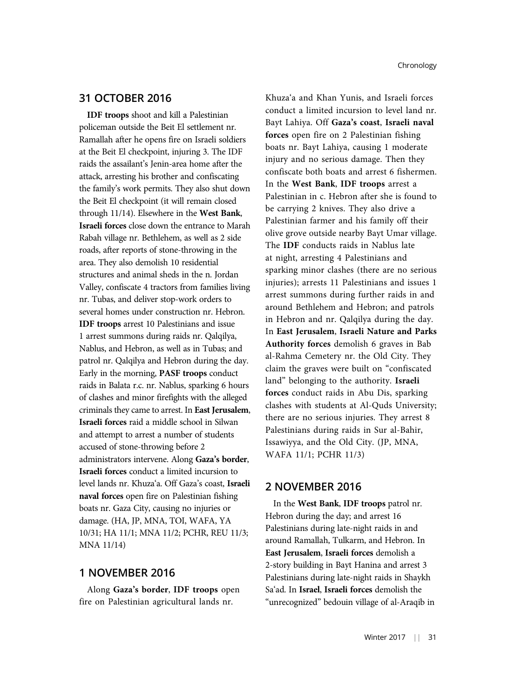### 31 OCTOBER 2016

IDF troops shoot and kill a Palestinian policeman outside the Beit El settlement nr. Ramallah after he opens fire on Israeli soldiers at the Beit El checkpoint, injuring 3. The IDF raids the assailant's Jenin-area home after the attack, arresting his brother and confiscating the family's work permits. They also shut down the Beit El checkpoint (it will remain closed through 11/14). Elsewhere in the West Bank, Israeli forces close down the entrance to Marah Rabah village nr. Bethlehem, as well as 2 side roads, after reports of stone-throwing in the area. They also demolish 10 residential structures and animal sheds in the n. Jordan Valley, confiscate 4 tractors from families living nr. Tubas, and deliver stop-work orders to several homes under construction nr. Hebron. IDF troops arrest 10 Palestinians and issue 1 arrest summons during raids nr. Qalqilya, Nablus, and Hebron, as well as in Tubas; and patrol nr. Qalqilya and Hebron during the day. Early in the morning, PASF troops conduct raids in Balata r.c. nr. Nablus, sparking 6 hours of clashes and minor firefights with the alleged criminals they came to arrest. In East Jerusalem, Israeli forces raid a middle school in Silwan and attempt to arrest a number of students accused of stone-throwing before 2 administrators intervene. Along Gaza's border, Israeli forces conduct a limited incursion to level lands nr. Khuza'a. Off Gaza's coast, Israeli naval forces open fire on Palestinian fishing boats nr. Gaza City, causing no injuries or damage. (HA, JP, MNA, TOI, WAFA, YA 10/31; HA 11/1; MNA 11/2; PCHR, REU 11/3; MNA 11/14)

### 1 NOVEMBER 2016

Along Gaza's border, IDF troops open fire on Palestinian agricultural lands nr.

Khuza'a and Khan Yunis, and Israeli forces conduct a limited incursion to level land nr. Bayt Lahiya. Off Gaza's coast, Israeli naval forces open fire on 2 Palestinian fishing boats nr. Bayt Lahiya, causing 1 moderate injury and no serious damage. Then they confiscate both boats and arrest 6 fishermen. In the West Bank, IDF troops arrest a Palestinian in c. Hebron after she is found to be carrying 2 knives. They also drive a Palestinian farmer and his family off their olive grove outside nearby Bayt Umar village. The IDF conducts raids in Nablus late at night, arresting 4 Palestinians and sparking minor clashes (there are no serious injuries); arrests 11 Palestinians and issues 1 arrest summons during further raids in and around Bethlehem and Hebron; and patrols in Hebron and nr. Qalqilya during the day. In East Jerusalem, Israeli Nature and Parks Authority forces demolish 6 graves in Bab al-Rahma Cemetery nr. the Old City. They claim the graves were built on "confiscated land" belonging to the authority. Israeli forces conduct raids in Abu Dis, sparking clashes with students at Al-Quds University; there are no serious injuries. They arrest 8 Palestinians during raids in Sur al-Bahir, Issawiyya, and the Old City. (JP, MNA, WAFA 11/1; PCHR 11/3)

### 2 NOVEMBER 2016

In the West Bank, IDF troops patrol nr. Hebron during the day; and arrest 16 Palestinians during late-night raids in and around Ramallah, Tulkarm, and Hebron. In East Jerusalem, Israeli forces demolish a 2-story building in Bayt Hanina and arrest 3 Palestinians during late-night raids in Shaykh Sa'ad. In Israel, Israeli forces demolish the "unrecognized" bedouin village of al-Araqib in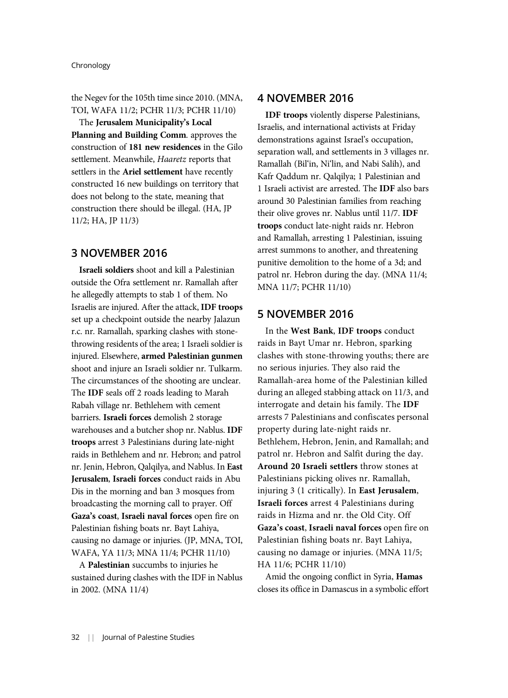the Negev for the 105th time since 2010. (MNA, TOI, WAFA 11/2; PCHR 11/3; PCHR 11/10)

The Jerusalem Municipality's Local Planning and Building Comm. approves the construction of 181 new residences in the Gilo settlement. Meanwhile, Haaretz reports that settlers in the Ariel settlement have recently constructed 16 new buildings on territory that does not belong to the state, meaning that construction there should be illegal. (HA, JP 11/2; HA, JP 11/3)

# 3 NOVEMBER 2016

Israeli soldiers shoot and kill a Palestinian outside the Ofra settlement nr. Ramallah after he allegedly attempts to stab 1 of them. No Israelis are injured. After the attack, IDF troops set up a checkpoint outside the nearby Jalazun r.c. nr. Ramallah, sparking clashes with stonethrowing residents of the area; 1 Israeli soldier is injured. Elsewhere, armed Palestinian gunmen shoot and injure an Israeli soldier nr. Tulkarm. The circumstances of the shooting are unclear. The IDF seals off 2 roads leading to Marah Rabah village nr. Bethlehem with cement barriers. Israeli forces demolish 2 storage warehouses and a butcher shop nr. Nablus. IDF troops arrest 3 Palestinians during late-night raids in Bethlehem and nr. Hebron; and patrol nr. Jenin, Hebron, Qalqilya, and Nablus. In East Jerusalem, Israeli forces conduct raids in Abu Dis in the morning and ban 3 mosques from broadcasting the morning call to prayer. Off Gaza's coast, Israeli naval forces open fire on Palestinian fishing boats nr. Bayt Lahiya, causing no damage or injuries. (JP, MNA, TOI, WAFA, YA 11/3; MNA 11/4; PCHR 11/10)

A Palestinian succumbs to injuries he sustained during clashes with the IDF in Nablus in 2002. (MNA 11/4)

### 4 NOVEMBER 2016

IDF troops violently disperse Palestinians, Israelis, and international activists at Friday demonstrations against Israel's occupation, separation wall, and settlements in 3 villages nr. Ramallah (Bil'in, Ni'lin, and Nabi Salih), and Kafr Qaddum nr. Qalqilya; 1 Palestinian and 1 Israeli activist are arrested. The IDF also bars around 30 Palestinian families from reaching their olive groves nr. Nablus until 11/7. IDF troops conduct late-night raids nr. Hebron and Ramallah, arresting 1 Palestinian, issuing arrest summons to another, and threatening punitive demolition to the home of a 3d; and patrol nr. Hebron during the day. (MNA 11/4; MNA 11/7; PCHR 11/10)

### 5 NOVEMBER 2016

In the West Bank, IDF troops conduct raids in Bayt Umar nr. Hebron, sparking clashes with stone-throwing youths; there are no serious injuries. They also raid the Ramallah-area home of the Palestinian killed during an alleged stabbing attack on 11/3, and interrogate and detain his family. The IDF arrests 7 Palestinians and confiscates personal property during late-night raids nr. Bethlehem, Hebron, Jenin, and Ramallah; and patrol nr. Hebron and Salfit during the day. Around 20 Israeli settlers throw stones at Palestinians picking olives nr. Ramallah, injuring 3 (1 critically). In East Jerusalem, Israeli forces arrest 4 Palestinians during raids in Hizma and nr. the Old City. Off Gaza's coast, Israeli naval forces open fire on Palestinian fishing boats nr. Bayt Lahiya, causing no damage or injuries. (MNA 11/5; HA 11/6; PCHR 11/10)

Amid the ongoing conflict in Syria, Hamas closes its office in Damascus in a symbolic effort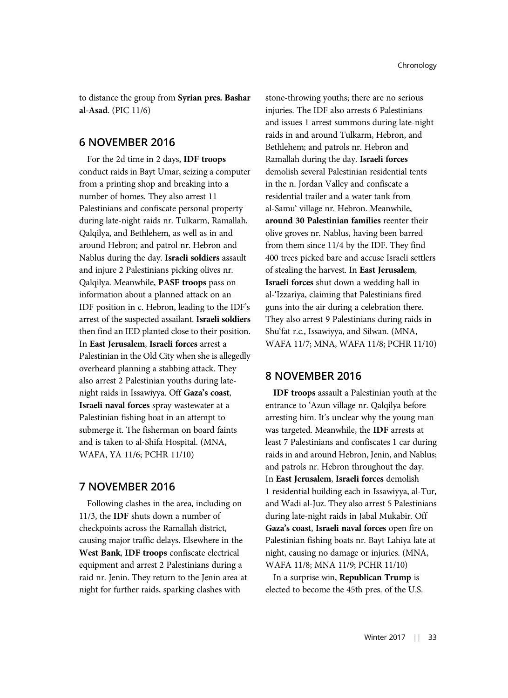to distance the group from Syrian pres. Bashar al-Asad. (PIC 11/6)

### 6 NOVEMBER 2016

For the 2d time in 2 days, IDF troops conduct raids in Bayt Umar, seizing a computer from a printing shop and breaking into a number of homes. They also arrest 11 Palestinians and confiscate personal property during late-night raids nr. Tulkarm, Ramallah, Qalqilya, and Bethlehem, as well as in and around Hebron; and patrol nr. Hebron and Nablus during the day. Israeli soldiers assault and injure 2 Palestinians picking olives nr. Qalqilya. Meanwhile, PASF troops pass on information about a planned attack on an IDF position in c. Hebron, leading to the IDF's arrest of the suspected assailant. Israeli soldiers then find an IED planted close to their position. In East Jerusalem, Israeli forces arrest a Palestinian in the Old City when she is allegedly overheard planning a stabbing attack. They also arrest 2 Palestinian youths during latenight raids in Issawiyya. Off Gaza's coast, Israeli naval forces spray wastewater at a Palestinian fishing boat in an attempt to submerge it. The fisherman on board faints and is taken to al-Shifa Hospital. (MNA, WAFA, YA 11/6; PCHR 11/10)

# 7 NOVEMBER 2016

Following clashes in the area, including on 11/3, the IDF shuts down a number of checkpoints across the Ramallah district, causing major traffic delays. Elsewhere in the West Bank, IDF troops confiscate electrical equipment and arrest 2 Palestinians during a raid nr. Jenin. They return to the Jenin area at night for further raids, sparking clashes with

stone-throwing youths; there are no serious injuries. The IDF also arrests 6 Palestinians and issues 1 arrest summons during late-night raids in and around Tulkarm, Hebron, and Bethlehem; and patrols nr. Hebron and Ramallah during the day. Israeli forces demolish several Palestinian residential tents in the n. Jordan Valley and confiscate a residential trailer and a water tank from al-Samu' village nr. Hebron. Meanwhile, around 30 Palestinian families reenter their olive groves nr. Nablus, having been barred from them since 11/4 by the IDF. They find 400 trees picked bare and accuse Israeli settlers of stealing the harvest. In East Jerusalem, Israeli forces shut down a wedding hall in al-'Izzariya, claiming that Palestinians fired guns into the air during a celebration there. They also arrest 9 Palestinians during raids in Shu'fat r.c., Issawiyya, and Silwan. (MNA, WAFA 11/7; MNA, WAFA 11/8; PCHR 11/10)

### 8 NOVEMBER 2016

IDF troops assault a Palestinian youth at the entrance to 'Azun village nr. Qalqilya before arresting him. It's unclear why the young man was targeted. Meanwhile, the IDF arrests at least 7 Palestinians and confiscates 1 car during raids in and around Hebron, Jenin, and Nablus; and patrols nr. Hebron throughout the day. In East Jerusalem, Israeli forces demolish 1 residential building each in Issawiyya, al-Tur, and Wadi al-Juz. They also arrest 5 Palestinians during late-night raids in Jabal Mukabir. Off Gaza's coast, Israeli naval forces open fire on Palestinian fishing boats nr. Bayt Lahiya late at night, causing no damage or injuries. (MNA, WAFA 11/8; MNA 11/9; PCHR 11/10)

In a surprise win, Republican Trump is elected to become the 45th pres. of the U.S.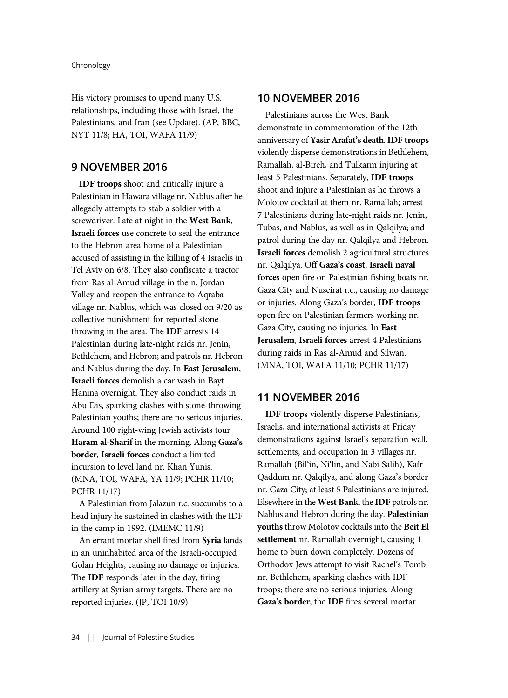His victory promises to upend many U.S. relationships, including those with Israel, the Palestinians, and Iran (see Update). (AP, BBC, NYT 11/8; HA, TOI, WAFA 11/9)

### 9 NOVEMBER 2016

IDF troops shoot and critically injure a Palestinian in Hawara village nr. Nablus after he allegedly attempts to stab a soldier with a screwdriver. Late at night in the West Bank, Israeli forces use concrete to seal the entrance to the Hebron-area home of a Palestinian accused of assisting in the killing of 4 Israelis in Tel Aviv on 6/8. They also confiscate a tractor from Ras al-Amud village in the n. Jordan Valley and reopen the entrance to Aqraba village nr. Nablus, which was closed on 9/20 as collective punishment for reported stonethrowing in the area. The IDF arrests 14 Palestinian during late-night raids nr. Jenin, Bethlehem, and Hebron; and patrols nr. Hebron and Nablus during the day. In East Jerusalem, Israeli forces demolish a car wash in Bayt Hanina overnight. They also conduct raids in Abu Dis, sparking clashes with stone-throwing Palestinian youths; there are no serious injuries. Around 100 right-wing Jewish activists tour Haram al-Sharif in the morning. Along Gaza's border, Israeli forces conduct a limited incursion to level land nr. Khan Yunis. (MNA, TOI, WAFA, YA 11/9; PCHR 11/10; PCHR 11/17)

A Palestinian from Jalazun r.c. succumbs to a head injury he sustained in clashes with the IDF in the camp in 1992. (IMEMC 11/9)

An errant mortar shell fired from Syria lands in an uninhabited area of the Israeli-occupied Golan Heights, causing no damage or injuries. The IDF responds later in the day, firing artillery at Syrian army targets. There are no reported injuries. (JP, TOI 10/9)

# 10 NOVEMBER 2016

Palestinians across the West Bank demonstrate in commemoration of the 12th anniversary of Yasir Arafat's death. IDF troops violently disperse demonstrations in Bethlehem, Ramallah, al-Bireh, and Tulkarm injuring at least 5 Palestinians. Separately, IDF troops shoot and injure a Palestinian as he throws a Molotov cocktail at them nr. Ramallah; arrest 7 Palestinians during late-night raids nr. Jenin, Tubas, and Nablus, as well as in Qalqilya; and patrol during the day nr. Qalqilya and Hebron. Israeli forces demolish 2 agricultural structures nr. Qalqilya. Off Gaza's coast, Israeli naval forces open fire on Palestinian fishing boats nr. Gaza City and Nuseirat r.c., causing no damage or injuries. Along Gaza's border, IDF troops open fire on Palestinian farmers working nr. Gaza City, causing no injuries. In East Jerusalem, Israeli forces arrest 4 Palestinians during raids in Ras al-Amud and Silwan. (MNA, TOI, WAFA 11/10; PCHR 11/17)

# 11 NOVEMBER 2016

IDF troops violently disperse Palestinians, Israelis, and international activists at Friday demonstrations against Israel's separation wall, settlements, and occupation in 3 villages nr. Ramallah (Bil'in, Ni'lin, and Nabi Salih), Kafr Qaddum nr. Qalqilya, and along Gaza's border nr. Gaza City; at least 5 Palestinians are injured. Elsewhere in the West Bank, the IDF patrols nr. Nablus and Hebron during the day. Palestinian youths throw Molotov cocktails into the Beit El settlement nr. Ramallah overnight, causing 1 home to burn down completely. Dozens of Orthodox Jews attempt to visit Rachel's Tomb nr. Bethlehem, sparking clashes with IDF troops; there are no serious injuries. Along Gaza's border, the IDF fires several mortar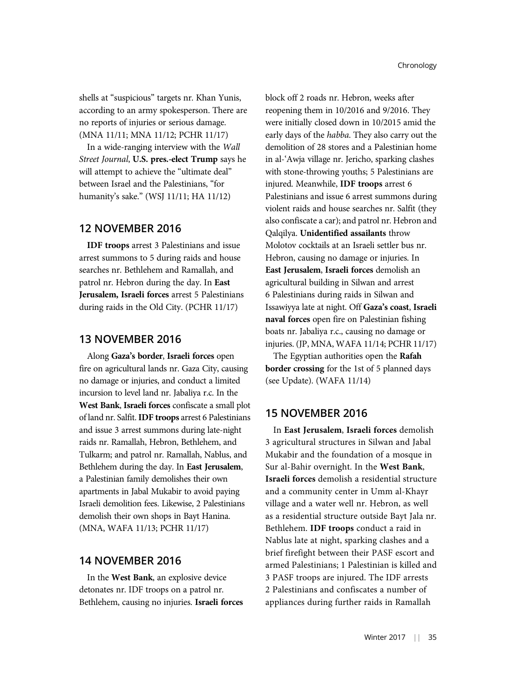shells at "suspicious" targets nr. Khan Yunis, according to an army spokesperson. There are no reports of injuries or serious damage. (MNA 11/11; MNA 11/12; PCHR 11/17)

In a wide-ranging interview with the Wall Street Journal, U.S. pres.-elect Trump says he will attempt to achieve the "ultimate deal" between Israel and the Palestinians, "for humanity's sake." (WSJ 11/11; HA 11/12)

# 12 NOVEMBER 2016

IDF troops arrest 3 Palestinians and issue arrest summons to 5 during raids and house searches nr. Bethlehem and Ramallah, and patrol nr. Hebron during the day. In East Jerusalem, Israeli forces arrest 5 Palestinians during raids in the Old City. (PCHR 11/17)

# 13 NOVEMBER 2016

Along Gaza's border, Israeli forces open fire on agricultural lands nr. Gaza City, causing no damage or injuries, and conduct a limited incursion to level land nr. Jabaliya r.c. In the West Bank, Israeli forces confiscate a small plot of land nr. Salfit.IDF troops arrest 6 Palestinians and issue 3 arrest summons during late-night raids nr. Ramallah, Hebron, Bethlehem, and Tulkarm; and patrol nr. Ramallah, Nablus, and Bethlehem during the day. In East Jerusalem, a Palestinian family demolishes their own apartments in Jabal Mukabir to avoid paying Israeli demolition fees. Likewise, 2 Palestinians demolish their own shops in Bayt Hanina. (MNA, WAFA 11/13; PCHR 11/17)

### 14 NOVEMBER 2016

In the West Bank, an explosive device detonates nr. IDF troops on a patrol nr. Bethlehem, causing no injuries. Israeli forces block off 2 roads nr. Hebron, weeks after reopening them in 10/2016 and 9/2016. They were initially closed down in 10/2015 amid the early days of the habba. They also carry out the demolition of 28 stores and a Palestinian home in al-'Awja village nr. Jericho, sparking clashes with stone-throwing youths; 5 Palestinians are injured. Meanwhile, IDF troops arrest 6 Palestinians and issue 6 arrest summons during violent raids and house searches nr. Salfit (they also confiscate a car); and patrol nr. Hebron and Qalqilya. Unidentified assailants throw Molotov cocktails at an Israeli settler bus nr. Hebron, causing no damage or injuries. In East Jerusalem, Israeli forces demolish an agricultural building in Silwan and arrest 6 Palestinians during raids in Silwan and Issawiyya late at night. Off Gaza's coast, Israeli naval forces open fire on Palestinian fishing boats nr. Jabaliya r.c., causing no damage or injuries. (JP, MNA, WAFA 11/14; PCHR 11/17)

The Egyptian authorities open the Rafah border crossing for the 1st of 5 planned days (see Update). (WAFA 11/14)

### 15 NOVEMBER 2016

In East Jerusalem, Israeli forces demolish 3 agricultural structures in Silwan and Jabal Mukabir and the foundation of a mosque in Sur al-Bahir overnight. In the West Bank, Israeli forces demolish a residential structure and a community center in Umm al-Khayr village and a water well nr. Hebron, as well as a residential structure outside Bayt Jala nr. Bethlehem. IDF troops conduct a raid in Nablus late at night, sparking clashes and a brief firefight between their PASF escort and armed Palestinians; 1 Palestinian is killed and 3 PASF troops are injured. The IDF arrests 2 Palestinians and confiscates a number of appliances during further raids in Ramallah